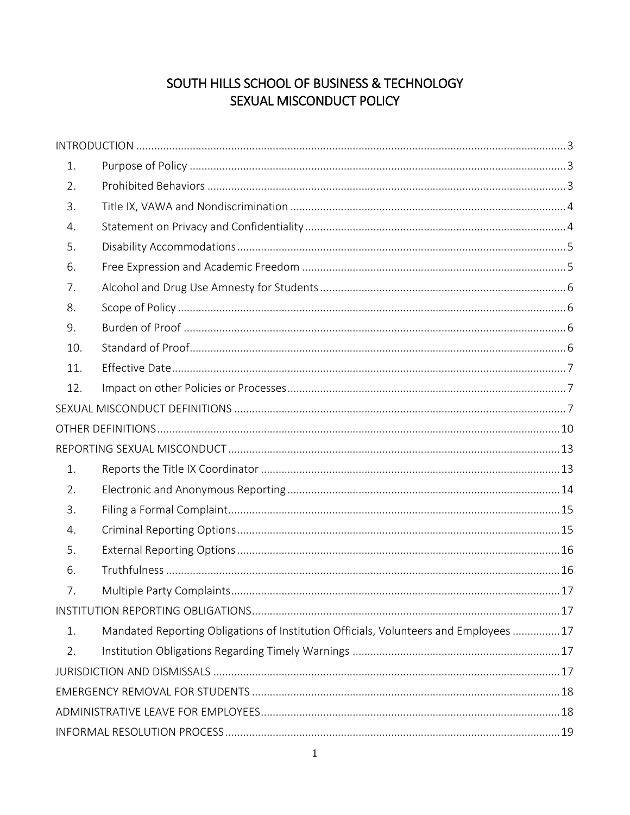# SOUTH HILLS SCHOOL OF BUSINESS & TECHNOLOGY SEXUAL MISCONDUCT POLICY

| 1.  |                                                                                       |  |  |
|-----|---------------------------------------------------------------------------------------|--|--|
| 2.  |                                                                                       |  |  |
| 3.  |                                                                                       |  |  |
| 4.  |                                                                                       |  |  |
| 5.  |                                                                                       |  |  |
| 6.  |                                                                                       |  |  |
| 7.  |                                                                                       |  |  |
| 8.  |                                                                                       |  |  |
| 9.  |                                                                                       |  |  |
| 10. |                                                                                       |  |  |
| 11. |                                                                                       |  |  |
| 12. |                                                                                       |  |  |
|     |                                                                                       |  |  |
|     |                                                                                       |  |  |
|     |                                                                                       |  |  |
| 1.  |                                                                                       |  |  |
| 2.  |                                                                                       |  |  |
| 3.  |                                                                                       |  |  |
| 4.  |                                                                                       |  |  |
| 5.  |                                                                                       |  |  |
| 6.  |                                                                                       |  |  |
| 7.  |                                                                                       |  |  |
|     |                                                                                       |  |  |
| 1.  | Mandated Reporting Obligations of Institution Officials, Volunteers and Employees  17 |  |  |
| 2.  |                                                                                       |  |  |
|     |                                                                                       |  |  |
|     |                                                                                       |  |  |
|     |                                                                                       |  |  |
|     |                                                                                       |  |  |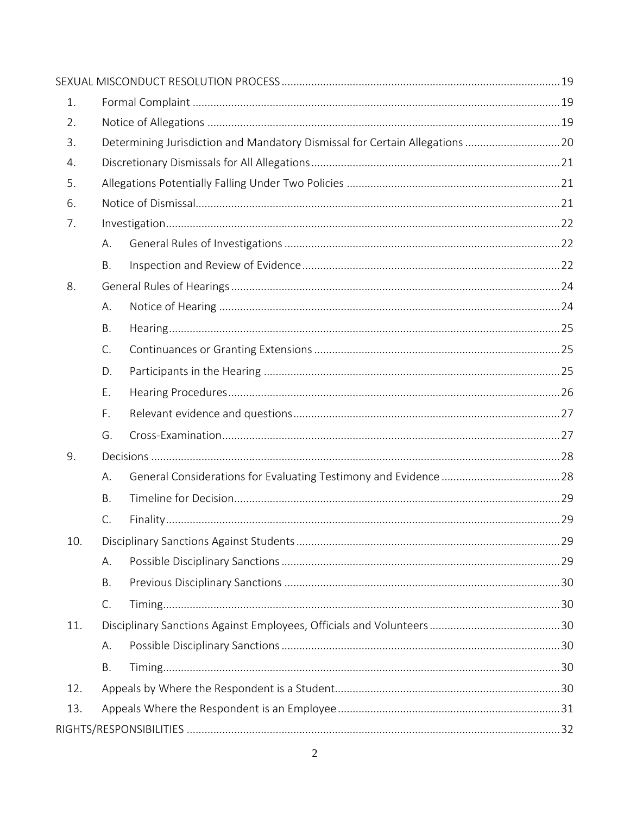| 1.  |                                                                              |  |  |  |  |
|-----|------------------------------------------------------------------------------|--|--|--|--|
| 2.  |                                                                              |  |  |  |  |
| 3.  | Determining Jurisdiction and Mandatory Dismissal for Certain Allegations  20 |  |  |  |  |
| 4.  |                                                                              |  |  |  |  |
| 5.  |                                                                              |  |  |  |  |
| 6.  |                                                                              |  |  |  |  |
| 7.  |                                                                              |  |  |  |  |
|     | А.                                                                           |  |  |  |  |
|     | B.                                                                           |  |  |  |  |
| 8.  |                                                                              |  |  |  |  |
|     | А.                                                                           |  |  |  |  |
|     | B.                                                                           |  |  |  |  |
|     | C.                                                                           |  |  |  |  |
|     | D.                                                                           |  |  |  |  |
|     | Ε.                                                                           |  |  |  |  |
|     | F.                                                                           |  |  |  |  |
|     | G.                                                                           |  |  |  |  |
| 9.  |                                                                              |  |  |  |  |
|     | А.                                                                           |  |  |  |  |
|     | B.                                                                           |  |  |  |  |
|     | C.                                                                           |  |  |  |  |
| 10. |                                                                              |  |  |  |  |
|     | А.                                                                           |  |  |  |  |
|     | <b>B.</b>                                                                    |  |  |  |  |
|     | C.                                                                           |  |  |  |  |
| 11. |                                                                              |  |  |  |  |
|     | А.                                                                           |  |  |  |  |
|     | Β.                                                                           |  |  |  |  |
| 12. |                                                                              |  |  |  |  |
| 13. |                                                                              |  |  |  |  |
|     |                                                                              |  |  |  |  |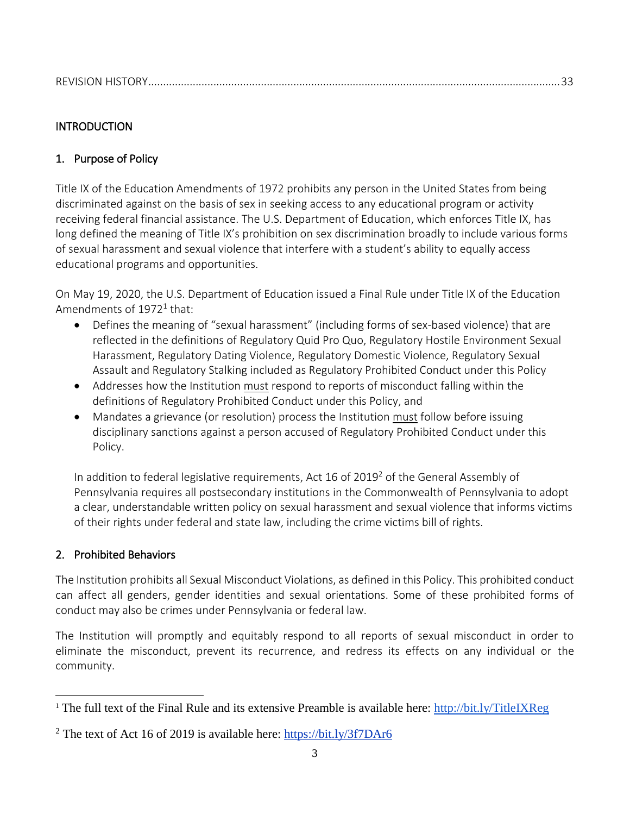# <span id="page-2-0"></span>**INTRODUCTION**

# <span id="page-2-1"></span>1. Purpose of Policy

Title IX of the Education Amendments of 1972 prohibits any person in the United States from being discriminated against on the basis of sex in seeking access to any educational program or activity receiving federal financial assistance. The U.S. Department of Education, which enforces Title IX, has long defined the meaning of Title IX's prohibition on sex discrimination broadly to include various forms of sexual harassment and sexual violence that interfere with a student's ability to equally access educational programs and opportunities.

On May 19, 2020, the U.S. Department of Education issued a Final Rule under Title IX of the Education Amendments of  $1972^1$  that:

- Defines the meaning of "sexual harassment" (including forms of sex-based violence) that are reflected in the definitions of Regulatory Quid Pro Quo, Regulatory Hostile Environment Sexual Harassment, Regulatory Dating Violence, Regulatory Domestic Violence, Regulatory Sexual Assault and Regulatory Stalking included as Regulatory Prohibited Conduct under this Policy
- Addresses how the Institution must respond to reports of misconduct falling within the definitions of Regulatory Prohibited Conduct under this Policy, and
- Mandates a grievance (or resolution) process the Institution must follow before issuing disciplinary sanctions against a person accused of Regulatory Prohibited Conduct under this Policy.

In addition to federal legislative requirements, Act 16 of 2019<sup>2</sup> of the General Assembly of Pennsylvania requires all postsecondary institutions in the Commonwealth of Pennsylvania to adopt a clear, understandable written policy on sexual harassment and sexual violence that informs victims of their rights under federal and state law, including the crime victims bill of rights.

# <span id="page-2-2"></span>2. Prohibited Behaviors

 $\overline{\phantom{a}}$ 

The Institution prohibits all Sexual Misconduct Violations, as defined in this Policy. This prohibited conduct can affect all genders, gender identities and sexual orientations. Some of these prohibited forms of conduct may also be crimes under Pennsylvania or federal law.

The Institution will promptly and equitably respond to all reports of sexual misconduct in order to eliminate the misconduct, prevent its recurrence, and redress its effects on any individual or the community.

<sup>&</sup>lt;sup>1</sup> The full text of the Final Rule and its extensive Preamble is available here:<http://bit.ly/TitleIXReg>

<sup>&</sup>lt;sup>2</sup> The text of Act 16 of 2019 is available here:  $\frac{https://bit.ly/3f7DAr6}{https://bit.ly/3f7DAr6}$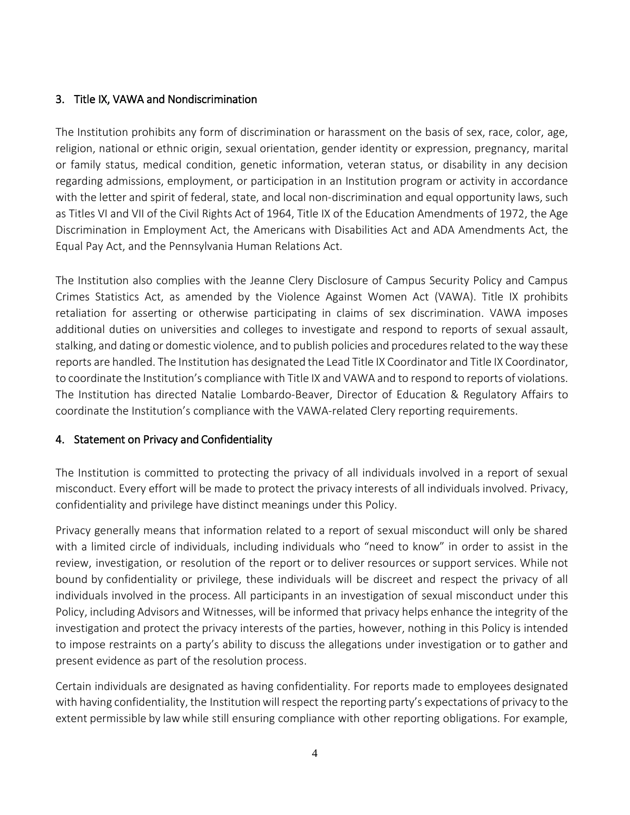### <span id="page-3-0"></span>3. Title IX, VAWA and Nondiscrimination

The Institution prohibits any form of discrimination or harassment on the basis of sex, race, color, age, religion, national or ethnic origin, sexual orientation, gender identity or expression, pregnancy, marital or family status, medical condition, genetic information, veteran status, or disability in any decision regarding admissions, employment, or participation in an Institution program or activity in accordance with the letter and spirit of federal, state, and local non-discrimination and equal opportunity laws, such as Titles VI and VII of the Civil Rights Act of 1964, Title IX of the Education Amendments of 1972, the Age Discrimination in Employment Act, the Americans with Disabilities Act and ADA Amendments Act, the Equal Pay Act, and the Pennsylvania Human Relations Act.

The Institution also complies with the Jeanne Clery Disclosure of Campus Security Policy and Campus Crimes Statistics Act, as amended by the Violence Against Women Act (VAWA). Title IX prohibits retaliation for asserting or otherwise participating in claims of sex discrimination. VAWA imposes additional duties on universities and colleges to investigate and respond to reports of sexual assault, stalking, and dating or domestic violence, and to publish policies and procedures related to the way these reports are handled. The Institution has designated the Lead Title IX Coordinator and Title IX Coordinator, to coordinate the Institution's compliance with Title IX and VAWA and to respond to reports of violations. The Institution has directed Natalie Lombardo-Beaver, Director of Education & Regulatory Affairs to coordinate the Institution's compliance with the VAWA-related Clery reporting requirements.

### <span id="page-3-1"></span>4. Statement on Privacy and Confidentiality

The Institution is committed to protecting the privacy of all individuals involved in a report of sexual misconduct. Every effort will be made to protect the privacy interests of all individuals involved. Privacy, confidentiality and privilege have distinct meanings under this Policy.

Privacy generally means that information related to a report of sexual misconduct will only be shared with a limited circle of individuals, including individuals who "need to know" in order to assist in the review, investigation, or resolution of the report or to deliver resources or support services. While not bound by confidentiality or privilege, these individuals will be discreet and respect the privacy of all individuals involved in the process. All participants in an investigation of sexual misconduct under this Policy, including Advisors and Witnesses, will be informed that privacy helps enhance the integrity of the investigation and protect the privacy interests of the parties, however, nothing in this Policy is intended to impose restraints on a party's ability to discuss the allegations under investigation or to gather and present evidence as part of the resolution process.

Certain individuals are designated as having confidentiality. For reports made to employees designated with having confidentiality, the Institution will respect the reporting party's expectations of privacy to the extent permissible by law while still ensuring compliance with other reporting obligations. For example,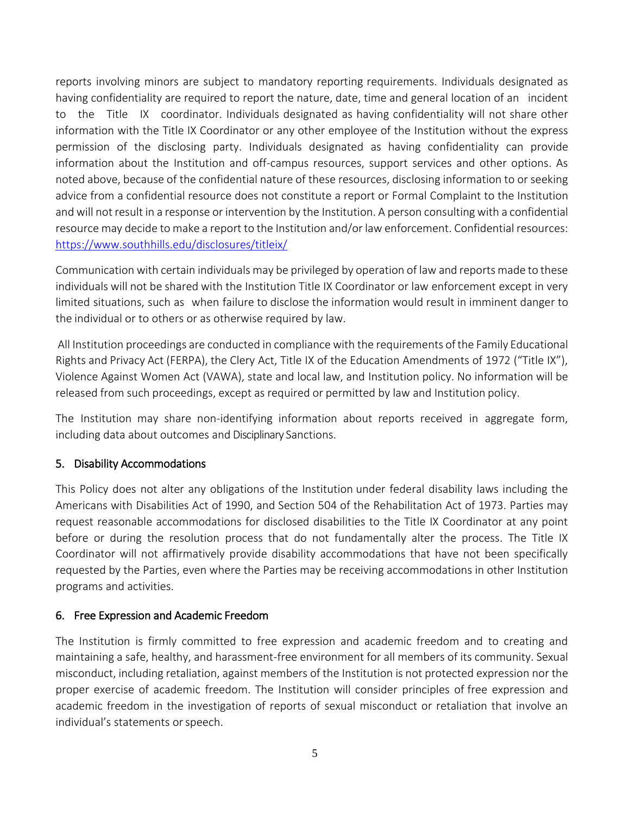reports involving minors are subject to mandatory reporting requirements. Individuals designated as having confidentiality are required to report the nature, date, time and general location of an incident to the Title IX coordinator. Individuals designated as having confidentiality will not share other information with the Title IX Coordinator or any other employee of the Institution without the express permission of the disclosing party. Individuals designated as having confidentiality can provide information about the Institution and off-campus resources, support services and other options. As noted above, because of the confidential nature of these resources, disclosing information to or seeking advice from a confidential resource does not constitute a report or Formal Complaint to the Institution and will not result in a response or intervention by the Institution. A person consulting with a confidential resource may decide to make a report to the Institution and/or law enforcement. Confidential resources: <https://www.southhills.edu/disclosures/titleix/>

Communication with certain individuals may be privileged by operation of law and reports made to these individuals will not be shared with the Institution Title IX Coordinator or law enforcement except in very limited situations, such as when failure to disclose the information would result in imminent danger to the individual or to others or as otherwise required by law.

All Institution proceedings are conducted in compliance with the requirements ofthe Family Educational Rights and Privacy Act (FERPA), the Clery Act, Title IX of the Education Amendments of 1972 ("Title IX"), Violence Against Women Act (VAWA), state and local law, and Institution policy. No information will be released from such proceedings, except as required or permitted by law and Institution policy.

The Institution may share non-identifying information about reports received in aggregate form, including data about outcomes and Disciplinary Sanctions.

### <span id="page-4-0"></span>5. Disability Accommodations

This Policy does not alter any obligations of the Institution under federal disability laws including the Americans with Disabilities Act of 1990, and Section 504 of the Rehabilitation Act of 1973. Parties may request reasonable accommodations for disclosed disabilities to the Title IX Coordinator at any point before or during the resolution process that do not fundamentally alter the process. The Title IX Coordinator will not affirmatively provide disability accommodations that have not been specifically requested by the Parties, even where the Parties may be receiving accommodations in other Institution programs and activities.

### <span id="page-4-1"></span>6. Free Expression and Academic Freedom

The Institution is firmly committed to free expression and academic freedom and to creating and maintaining a safe, healthy, and harassment-free environment for all members of its community. Sexual misconduct, including retaliation, against members of the Institution is not protected expression nor the proper exercise of academic freedom. The Institution will consider principles of free expression and academic freedom in the investigation of reports of sexual misconduct or retaliation that involve an individual's statements or speech.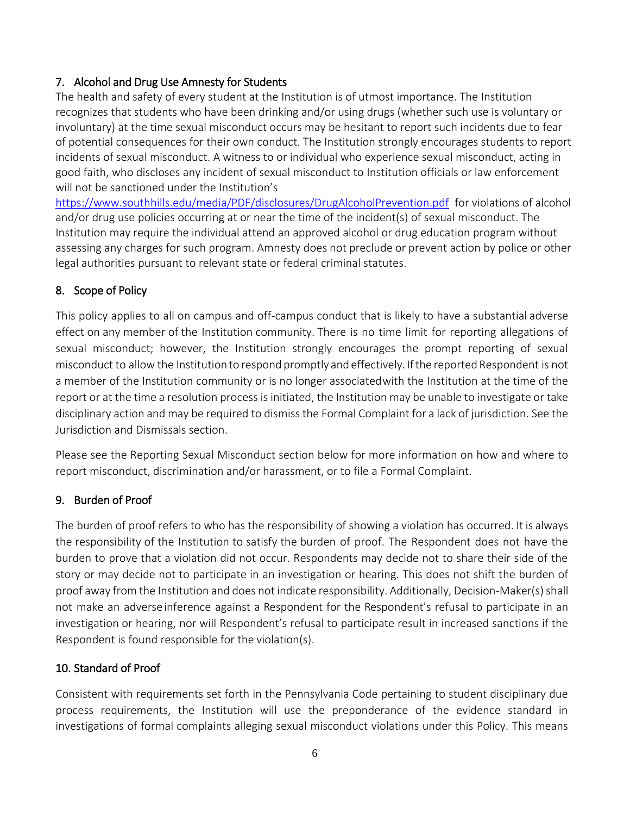### <span id="page-5-0"></span>7. Alcohol and Drug Use Amnesty for Students

The health and safety of every student at the Institution is of utmost importance. The Institution recognizes that students who have been drinking and/or using drugs (whether such use is voluntary or involuntary) at the time sexual misconduct occurs may be hesitant to report such incidents due to fear of potential consequences for their own conduct. The Institution strongly encourages students to report incidents of sexual misconduct. A witness to or individual who experience sexual misconduct, acting in good faith, who discloses any incident of sexual misconduct to Institution officials or law enforcement will not be sanctioned under the Institution's

<https://www.southhills.edu/media/PDF/disclosures/DrugAlcoholPrevention.pdf> for violations of alcohol and/or drug use policies occurring at or near the time of the incident(s) of sexual misconduct. The Institution may require the individual attend an approved alcohol or drug education program without assessing any charges for such program. Amnesty does not preclude or prevent action by police or other legal authorities pursuant to relevant state or federal criminal statutes.

# <span id="page-5-1"></span>8. Scope of Policy

This policy applies to all on campus and off-campus conduct that is likely to have a substantial adverse effect on any member of the Institution community. There is no time limit for reporting allegations of sexual misconduct; however, the Institution strongly encourages the prompt reporting of sexual misconduct to allow the Institution to respond promptly and effectively. Ifthe reported Respondent is not a member of the Institution community or is no longer associatedwith the Institution at the time of the report or at the time a resolution process is initiated, the Institution may be unable to investigate or take disciplinary action and may be required to dismiss the Formal Complaint for a lack of jurisdiction. See the Jurisdiction and Dismissals section.

Please see the Reporting Sexual Misconduct section below for more information on how and where to report misconduct, discrimination and/or harassment, or to file a Formal Complaint.

### <span id="page-5-2"></span>9. Burden of Proof

The burden of proof refers to who has the responsibility of showing a violation has occurred. It is always the responsibility of the Institution to satisfy the burden of proof. The Respondent does not have the burden to prove that a violation did not occur. Respondents may decide not to share their side of the story or may decide not to participate in an investigation or hearing. This does not shift the burden of proof away from the Institution and does not indicate responsibility. Additionally, Decision-Maker(s) shall not make an adverseinference against a Respondent for the Respondent's refusal to participate in an investigation or hearing, nor will Respondent's refusal to participate result in increased sanctions if the Respondent is found responsible for the violation(s).

### <span id="page-5-3"></span>10. Standard of Proof

Consistent with requirements set forth in the Pennsylvania Code pertaining to student disciplinary due process requirements, the Institution will use the preponderance of the evidence standard in investigations of formal complaints alleging sexual misconduct violations under this Policy. This means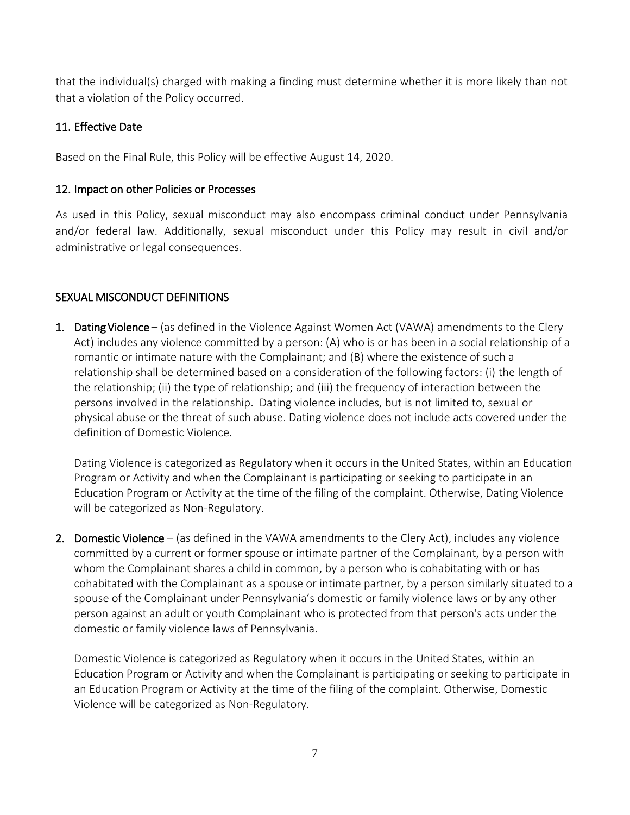that the individual(s) charged with making a finding must determine whether it is more likely than not that a violation of the Policy occurred.

### <span id="page-6-0"></span>11. Effective Date

Based on the Final Rule, this Policy will be effective August 14, 2020.

### <span id="page-6-1"></span>12. Impact on other Policies or Processes

As used in this Policy, sexual misconduct may also encompass criminal conduct under Pennsylvania and/or federal law. Additionally, sexual misconduct under this Policy may result in civil and/or administrative or legal consequences.

# <span id="page-6-2"></span>SEXUAL MISCONDUCT DEFINITIONS

1. Dating Violence – (as defined in the Violence Against Women Act (VAWA) amendments to the Clery Act) includes any violence committed by a person: (A) who is or has been in a social relationship of a romantic or intimate nature with the Complainant; and (B) where the existence of such a relationship shall be determined based on a consideration of the following factors: (i) the length of the relationship; (ii) the type of relationship; and (iii) the frequency of interaction between the persons involved in the relationship. Dating violence includes, but is not limited to, sexual or physical abuse or the threat of such abuse. Dating violence does not include acts covered under the definition of Domestic Violence.

Dating Violence is categorized as Regulatory when it occurs in the United States, within an Education Program or Activity and when the Complainant is participating or seeking to participate in an Education Program or Activity at the time of the filing of the complaint. Otherwise, Dating Violence will be categorized as Non-Regulatory.

2. Domestic Violence – (as defined in the VAWA amendments to the Clery Act), includes any violence committed by a current or former spouse or intimate partner of the Complainant, by a person with whom the Complainant shares a child in common, by a person who is cohabitating with or has cohabitated with the Complainant as a spouse or intimate partner, by a person similarly situated to a spouse of the Complainant under Pennsylvania's domestic or family violence laws or by any other person against an adult or youth Complainant who is protected from that person's acts under the domestic or family violence laws of Pennsylvania.

Domestic Violence is categorized as Regulatory when it occurs in the United States, within an Education Program or Activity and when the Complainant is participating or seeking to participate in an Education Program or Activity at the time of the filing of the complaint. Otherwise, Domestic Violence will be categorized as Non-Regulatory.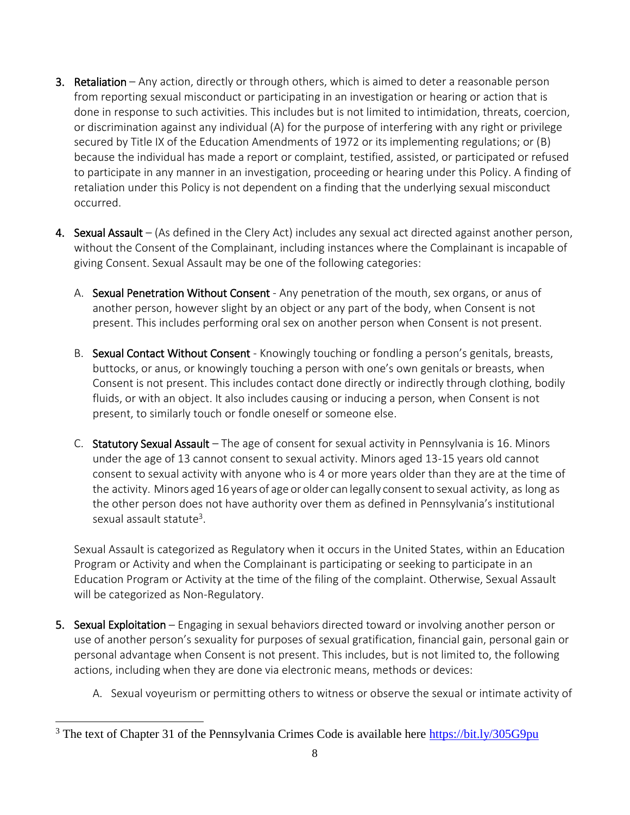- 3. Retaliation Any action, directly or through others, which is aimed to deter a reasonable person from reporting sexual misconduct or participating in an investigation or hearing or action that is done in response to such activities. This includes but is not limited to intimidation, threats, coercion, or discrimination against any individual (A) for the purpose of interfering with any right or privilege secured by Title IX of the Education Amendments of 1972 or its implementing regulations; or (B) because the individual has made a report or complaint, testified, assisted, or participated or refused to participate in any manner in an investigation, proceeding or hearing under this Policy. A finding of retaliation under this Policy is not dependent on a finding that the underlying sexual misconduct occurred.
- 4. Sexual Assault (As defined in the Clery Act) includes any sexual act directed against another person, without the Consent of the Complainant, including instances where the Complainant is incapable of giving Consent. Sexual Assault may be one of the following categories:
	- A. Sexual Penetration Without Consent Any penetration of the mouth, sex organs, or anus of another person, however slight by an object or any part of the body, when Consent is not present. This includes performing oral sex on another person when Consent is not present.
	- B. Sexual Contact Without Consent Knowingly touching or fondling a person's genitals, breasts, buttocks, or anus, or knowingly touching a person with one's own genitals or breasts, when Consent is not present. This includes contact done directly or indirectly through clothing, bodily fluids, or with an object. It also includes causing or inducing a person, when Consent is not present, to similarly touch or fondle oneself or someone else.
	- C. Statutory Sexual Assault The age of consent for sexual activity in Pennsylvania is 16. Minors under the age of 13 cannot consent to sexual activity. Minors aged 13-15 years old cannot consent to sexual activity with anyone who is 4 or more years older than they are at the time of the activity. Minors aged 16 years of age or older can legally consentto sexual activity, as long as the other person does not have authority over them as defined in Pennsylvania's institutional sexual assault statute<sup>3</sup>.

Sexual Assault is categorized as Regulatory when it occurs in the United States, within an Education Program or Activity and when the Complainant is participating or seeking to participate in an Education Program or Activity at the time of the filing of the complaint. Otherwise, Sexual Assault will be categorized as Non-Regulatory.

- 5. Sexual Exploitation Engaging in sexual behaviors directed toward or involving another person or use of another person's sexuality for purposes of sexual gratification, financial gain, personal gain or personal advantage when Consent is not present. This includes, but is not limited to, the following actions, including when they are done via electronic means, methods or devices:
	- A. Sexual voyeurism or permitting others to witness or observe the sexual or intimate activity of

l

<sup>&</sup>lt;sup>3</sup> The text of Chapter 31 of the Pennsylvania Crimes Code is available here<https://bit.ly/305G9pu>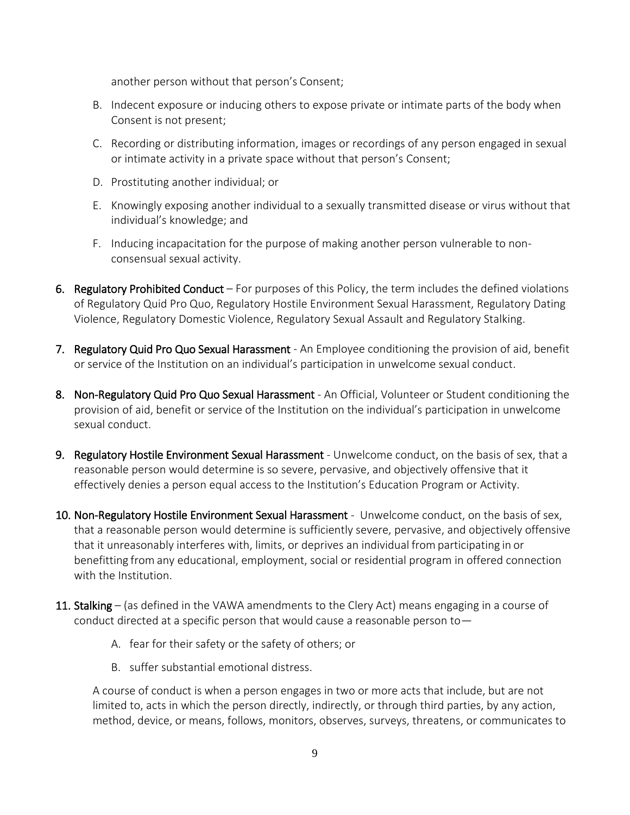another person without that person's Consent;

- B. Indecent exposure or inducing others to expose private or intimate parts of the body when Consent is not present;
- C. Recording or distributing information, images or recordings of any person engaged in sexual or intimate activity in a private space without that person's Consent;
- D. Prostituting another individual; or
- E. Knowingly exposing another individual to a sexually transmitted disease or virus without that individual's knowledge; and
- F. Inducing incapacitation for the purpose of making another person vulnerable to nonconsensual sexual activity.
- 6. Regulatory Prohibited Conduct For purposes of this Policy, the term includes the defined violations of Regulatory Quid Pro Quo, Regulatory Hostile Environment Sexual Harassment, Regulatory Dating Violence, Regulatory Domestic Violence, Regulatory Sexual Assault and Regulatory Stalking.
- 7. Regulatory Quid Pro Quo Sexual Harassment An Employee conditioning the provision of aid, benefit or service of the Institution on an individual's participation in unwelcome sexual conduct.
- 8. Non-Regulatory Quid Pro Quo Sexual Harassment An Official, Volunteer or Student conditioning the provision of aid, benefit or service of the Institution on the individual's participation in unwelcome sexual conduct.
- 9. Regulatory Hostile Environment Sexual Harassment Unwelcome conduct, on the basis of sex, that a reasonable person would determine is so severe, pervasive, and objectively offensive that it effectively denies a person equal access to the Institution's Education Program or Activity.
- 10. Non-Regulatory Hostile Environment Sexual Harassment Unwelcome conduct, on the basis of sex, that a reasonable person would determine is sufficiently severe, pervasive, and objectively offensive that it unreasonably interferes with, limits, or deprives an individual fromparticipating in or benefitting from any educational, employment, social or residential program in offered connection with the Institution.
- 11. Stalking (as defined in the VAWA amendments to the Clery Act) means engaging in a course of conduct directed at a specific person that would cause a reasonable person to—
	- A. fear for their safety or the safety of others; or
	- B. suffer substantial emotional distress.

A course of conduct is when a person engages in two or more acts that include, but are not limited to, acts in which the person directly, indirectly, or through third parties, by any action, method, device, or means, follows, monitors, observes, surveys, threatens, or communicates to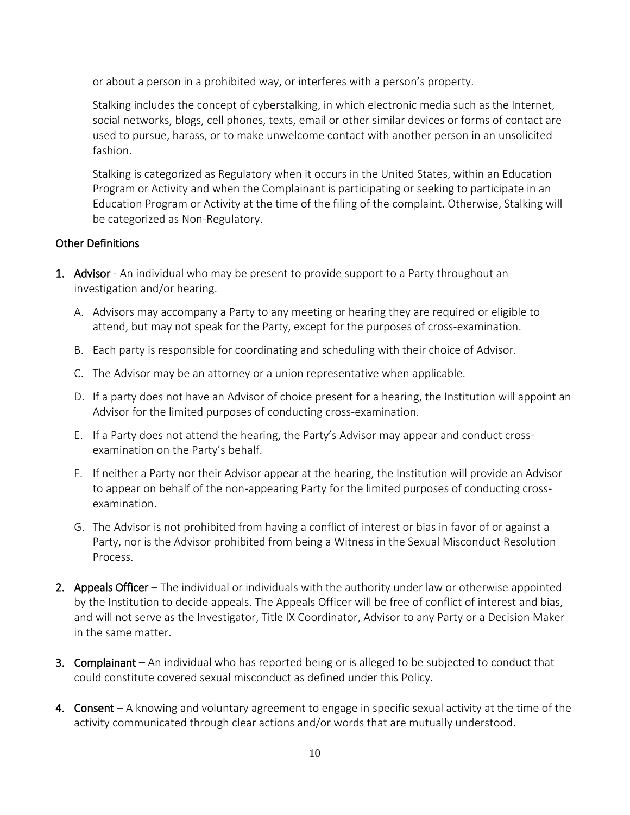or about a person in a prohibited way, or interferes with a person's property.

Stalking includes the concept of cyberstalking, in which electronic media such as the Internet, social networks, blogs, cell phones, texts, email or other similar devices or forms of contact are used to pursue, harass, or to make unwelcome contact with another person in an unsolicited fashion.

Stalking is categorized as Regulatory when it occurs in the United States, within an Education Program or Activity and when the Complainant is participating or seeking to participate in an Education Program or Activity at the time of the filing of the complaint. Otherwise, Stalking will be categorized as Non-Regulatory.

### <span id="page-9-0"></span>Other Definitions

- 1. Advisor An individual who may be present to provide support to a Party throughout an investigation and/or hearing.
	- A. Advisors may accompany a Party to any meeting or hearing they are required or eligible to attend, but may not speak for the Party, except for the purposes of cross-examination.
	- B. Each party is responsible for coordinating and scheduling with their choice of Advisor.
	- C. The Advisor may be an attorney or a union representative when applicable.
	- D. If a party does not have an Advisor of choice present for a hearing, the Institution will appoint an Advisor for the limited purposes of conducting cross-examination.
	- E. If a Party does not attend the hearing, the Party's Advisor may appear and conduct crossexamination on the Party's behalf.
	- F. If neither a Party nor their Advisor appear at the hearing, the Institution will provide an Advisor to appear on behalf of the non-appearing Party for the limited purposes of conducting crossexamination.
	- G. The Advisor is not prohibited from having a conflict of interest or bias in favor of or against a Party, nor is the Advisor prohibited from being a Witness in the Sexual Misconduct Resolution Process.
- 2. Appeals Officer The individual or individuals with the authority under law or otherwise appointed by the Institution to decide appeals. The Appeals Officer will be free of conflict of interest and bias, and will not serve as the Investigator, Title IX Coordinator, Advisor to any Party or a Decision Maker in the same matter.
- 3. Complainant An individual who has reported being or is alleged to be subjected to conduct that could constitute covered sexual misconduct as defined under this Policy.
- 4. Consent A knowing and voluntary agreement to engage in specific sexual activity at the time of the activity communicated through clear actions and/or words that are mutually understood.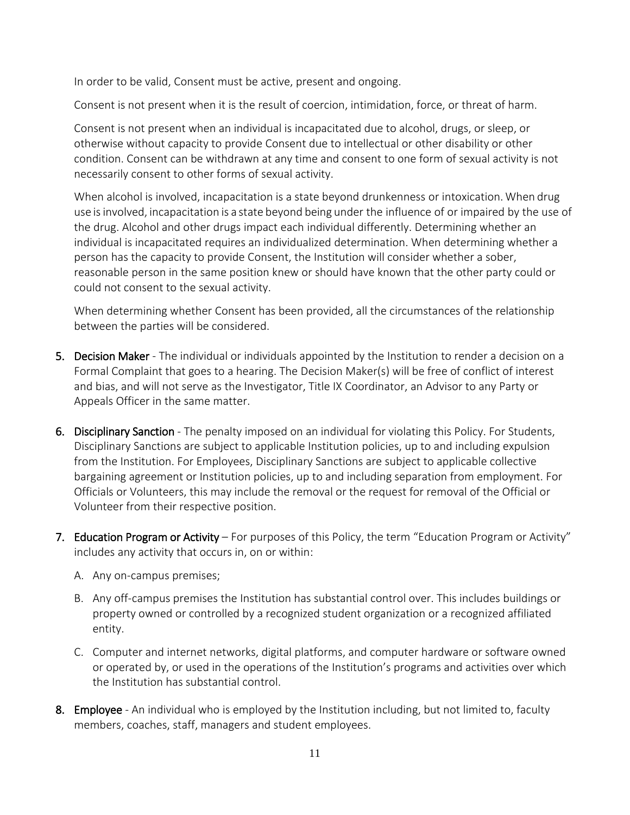In order to be valid, Consent must be active, present and ongoing.

Consent is not present when it is the result of coercion, intimidation, force, or threat of harm.

Consent is not present when an individual is incapacitated due to alcohol, drugs, or sleep, or otherwise without capacity to provide Consent due to intellectual or other disability or other condition. Consent can be withdrawn at any time and consent to one form of sexual activity is not necessarily consent to other forms of sexual activity.

When alcohol is involved, incapacitation is a state beyond drunkenness or intoxication. When drug use isinvolved, incapacitation is a state beyond being under the influence of or impaired by the use of the drug. Alcohol and other drugs impact each individual differently. Determining whether an individual is incapacitated requires an individualized determination. When determining whether a person has the capacity to provide Consent, the Institution will consider whether a sober, reasonable person in the same position knew or should have known that the other party could or could not consent to the sexual activity.

When determining whether Consent has been provided, all the circumstances of the relationship between the parties will be considered.

- 5. Decision Maker The individual or individuals appointed by the Institution to render a decision on a Formal Complaint that goes to a hearing. The Decision Maker(s) will be free of conflict of interest and bias, and will not serve as the Investigator, Title IX Coordinator, an Advisor to any Party or Appeals Officer in the same matter.
- 6. Disciplinary Sanction The penalty imposed on an individual for violating this Policy. For Students, Disciplinary Sanctions are subject to applicable Institution policies, up to and including expulsion from the Institution. For Employees, Disciplinary Sanctions are subject to applicable collective bargaining agreement or Institution policies, up to and including separation from employment. For Officials or Volunteers, this may include the removal or the request for removal of the Official or Volunteer from their respective position.
- 7. Education Program or Activity For purposes of this Policy, the term "Education Program or Activity" includes any activity that occurs in, on or within:
	- A. Any on-campus premises;
	- B. Any off-campus premises the Institution has substantial control over. This includes buildings or property owned or controlled by a recognized student organization or a recognized affiliated entity.
	- C. Computer and internet networks, digital platforms, and computer hardware or software owned or operated by, or used in the operations of the Institution's programs and activities over which the Institution has substantial control.
- 8. Employee An individual who is employed by the Institution including, but not limited to, faculty members, coaches, staff, managers and student employees.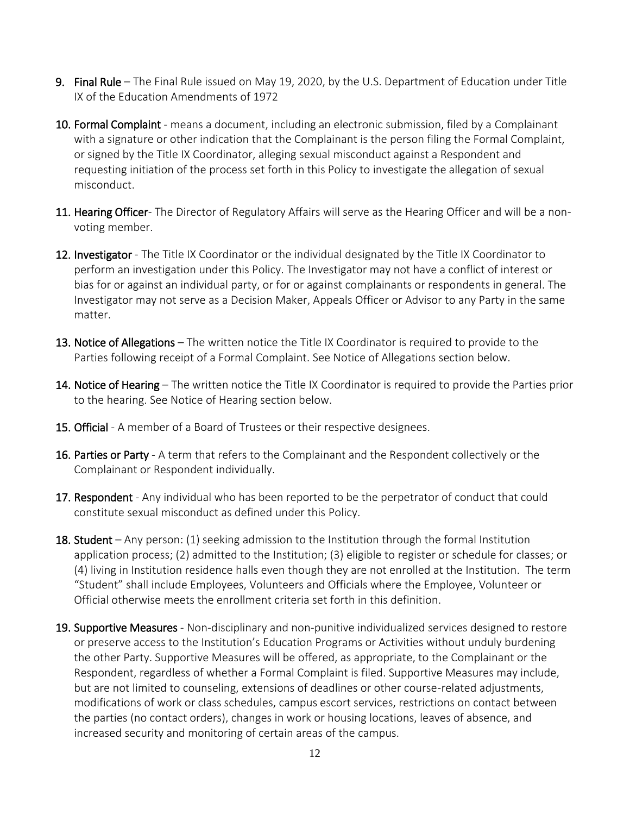- 9. Final Rule The Final Rule issued on May 19, 2020, by the U.S. Department of Education under Title IX of the Education Amendments of 1972
- 10. Formal Complaint means a document, including an electronic submission, filed by a Complainant with a signature or other indication that the Complainant is the person filing the Formal Complaint, or signed by the Title IX Coordinator, alleging sexual misconduct against a Respondent and requesting initiation of the process set forth in this Policy to investigate the allegation of sexual misconduct.
- 11. Hearing Officer- The Director of Regulatory Affairs will serve as the Hearing Officer and will be a nonvoting member.
- 12. Investigator The Title IX Coordinator or the individual designated by the Title IX Coordinator to perform an investigation under this Policy. The Investigator may not have a conflict of interest or bias for or against an individual party, or for or against complainants or respondents in general. The Investigator may not serve as a Decision Maker, Appeals Officer or Advisor to any Party in the same matter.
- 13. Notice of Allegations The written notice the Title IX Coordinator is required to provide to the Parties following receipt of a Formal Complaint. See Notice of Allegations section below.
- 14. Notice of Hearing The written notice the Title IX Coordinator is required to provide the Parties prior to the hearing. See Notice of Hearing section below.
- 15. Official A member of a Board of Trustees or their respective designees.
- 16. Parties or Party A term that refers to the Complainant and the Respondent collectively or the Complainant or Respondent individually.
- 17. Respondent Any individual who has been reported to be the perpetrator of conduct that could constitute sexual misconduct as defined under this Policy.
- **18. Student** Any person: (1) seeking admission to the Institution through the formal Institution application process; (2) admitted to the Institution; (3) eligible to register or schedule for classes; or (4) living in Institution residence halls even though they are not enrolled at the Institution. The term "Student" shall include Employees, Volunteers and Officials where the Employee, Volunteer or Official otherwise meets the enrollment criteria set forth in this definition.
- 19. Supportive Measures Non-disciplinary and non-punitive individualized services designed to restore or preserve access to the Institution's Education Programs or Activities without unduly burdening the other Party. Supportive Measures will be offered, as appropriate, to the Complainant or the Respondent, regardless of whether a Formal Complaint is filed. Supportive Measures may include, but are not limited to counseling, extensions of deadlines or other course-related adjustments, modifications of work or class schedules, campus escort services, restrictions on contact between the parties (no contact orders), changes in work or housing locations, leaves of absence, and increased security and monitoring of certain areas of the campus.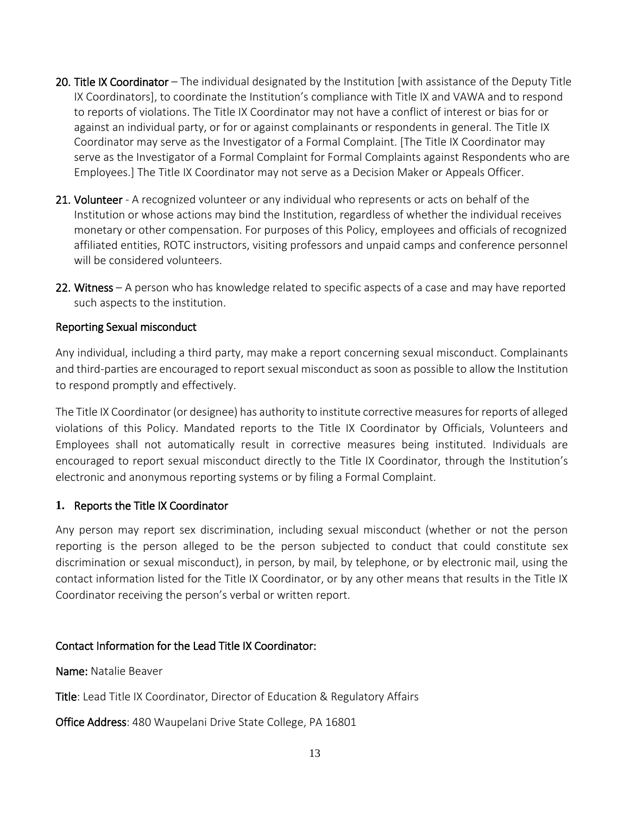- 20. Title IX Coordinator The individual designated by the Institution [with assistance of the Deputy Title IX Coordinators], to coordinate the Institution's compliance with Title IX and VAWA and to respond to reports of violations. The Title IX Coordinator may not have a conflict of interest or bias for or against an individual party, or for or against complainants or respondents in general. The Title IX Coordinator may serve as the Investigator of a Formal Complaint. [The Title IX Coordinator may serve as the Investigator of a Formal Complaint for Formal Complaints against Respondents who are Employees.] The Title IX Coordinator may not serve as a Decision Maker or Appeals Officer.
- 21. Volunteer A recognized volunteer or any individual who represents or acts on behalf of the Institution or whose actions may bind the Institution, regardless of whether the individual receives monetary or other compensation. For purposes of this Policy, employees and officials of recognized affiliated entities, ROTC instructors, visiting professors and unpaid camps and conference personnel will be considered volunteers.
- 22. Witness A person who has knowledge related to specific aspects of a case and may have reported such aspects to the institution.

#### <span id="page-12-0"></span>Reporting Sexual misconduct

Any individual, including a third party, may make a report concerning sexual misconduct. Complainants and third-parties are encouraged to report sexual misconduct as soon as possible to allow the Institution to respond promptly and effectively.

The Title IX Coordinator (or designee) has authority to institute corrective measures for reports of alleged violations of this Policy. Mandated reports to the Title IX Coordinator by Officials, Volunteers and Employees shall not automatically result in corrective measures being instituted. Individuals are encouraged to report sexual misconduct directly to the Title IX Coordinator, through the Institution's electronic and anonymous reporting systems or by filing a Formal Complaint.

### <span id="page-12-1"></span>**1.** Reports the Title IX Coordinator

Any person may report sex discrimination, including sexual misconduct (whether or not the person reporting is the person alleged to be the person subjected to conduct that could constitute sex discrimination or sexual misconduct), in person, by mail, by telephone, or by electronic mail, using the contact information listed for the Title IX Coordinator, or by any other means that results in the Title IX Coordinator receiving the person's verbal or written report.

#### Contact Information for the Lead Title IX Coordinator:

Name: Natalie Beaver

Title: Lead Title IX Coordinator, Director of Education & Regulatory Affairs

Office Address: 480 Waupelani Drive State College, PA 16801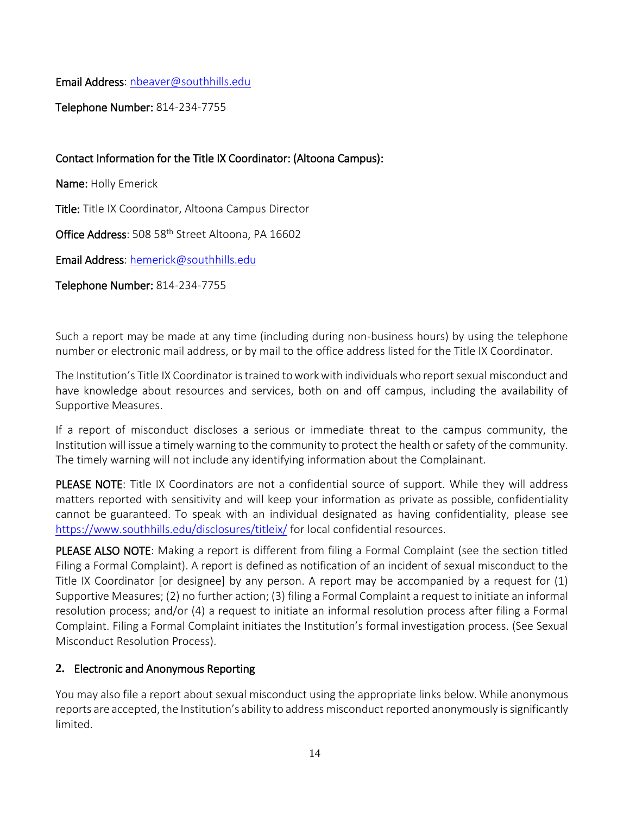Email Address: [nbeaver@southhills.edu](mailto:nbeaver@southhills.edu)

Telephone Number: 814-234-7755

# Contact Information for the Title IX Coordinator: (Altoona Campus):

Name: Holly Emerick

Title: Title IX Coordinator, Altoona Campus Director

Office Address: 508 58<sup>th</sup> Street Altoona, PA 16602

Email Address: [hemerick@southhills.edu](mailto:hemerick@southhills.edu) 

Telephone Number: 814-234-7755

Such a report may be made at any time (including during non-business hours) by using the telephone number or electronic mail address, or by mail to the office address listed for the Title IX Coordinator.

The Institution's Title IX Coordinator is trained to work with individuals who report sexual misconduct and have knowledge about resources and services, both on and off campus, including the availability of Supportive Measures.

If a report of misconduct discloses a serious or immediate threat to the campus community, the Institution will issue a timely warning to the community to protect the health or safety of the community. The timely warning will not include any identifying information about the Complainant.

PLEASE NOTE: Title IX Coordinators are not a confidential source of support. While they will address matters reported with sensitivity and will keep your information as private as possible, confidentiality cannot be guaranteed. To speak with an individual designated as having confidentiality, please see <https://www.southhills.edu/disclosures/titleix/> for local confidential resources.

PLEASE ALSO NOTE: Making a report is different from filing a Formal Complaint (see the section titled Filing a Formal Complaint). A report is defined as notification of an incident of sexual misconduct to the Title IX Coordinator [or designee] by any person. A report may be accompanied by a request for (1) Supportive Measures; (2) no further action; (3) filing a Formal Complaint a request to initiate an informal resolution process; and/or (4) a request to initiate an informal resolution process after filing a Formal Complaint. Filing a Formal Complaint initiates the Institution's formal investigation process. (See Sexual Misconduct Resolution Process).

# <span id="page-13-0"></span>**2.** Electronic and Anonymous Reporting

You may also file a report about sexual misconduct using the appropriate links below. While anonymous reports are accepted, the Institution's ability to address misconduct reported anonymously is significantly limited.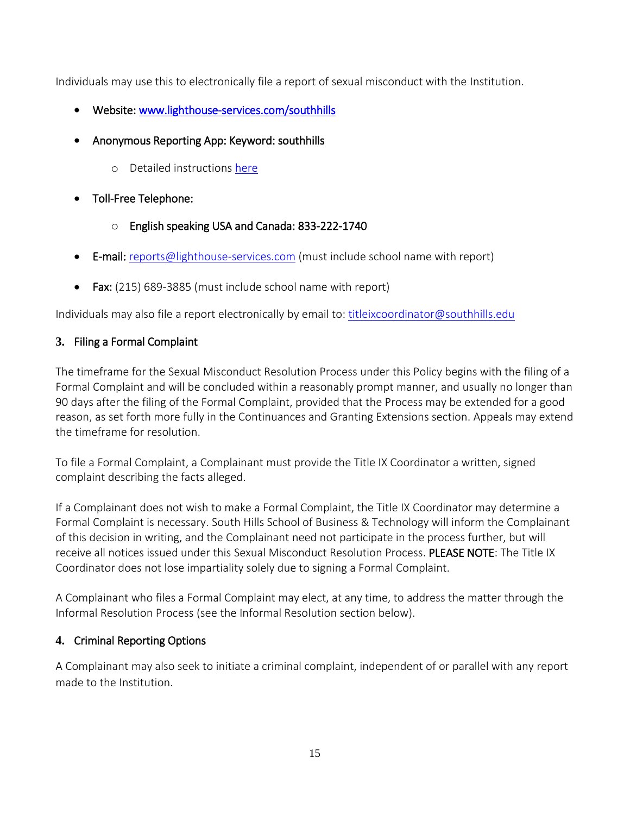Individuals may use this to electronically file a report of sexual misconduct with the Institution.

- Website: [www.lighthouse-services.com/southhills](http://www.lighthouse-services.com/southhills)
- Anonymous Reporting App: Keyword: southhills
	- o Detailed instructions [here](https://www.lighthouse-services.com/documents/Using%20the%20Lighthouse%20Anonymous%20Reporting%20App.docx)
- Toll-Free Telephone:
	- o English speaking USA and Canada: 833-222-1740
- E-mail: [reports@lighthouse-services.com](mailto:reports@lighthouse-services.com) (must include school name with report)
- Fax: (215) 689-3885 (must include school name with report)

Individuals may also file a report electronically by email to: [titleixcoordinator@southhills.edu](mailto:titleixcoordinator@southhills.edu)

# <span id="page-14-0"></span>**3.** Filing a Formal Complaint

The timeframe for the Sexual Misconduct Resolution Process under this Policy begins with the filing of a Formal Complaint and will be concluded within a reasonably prompt manner, and usually no longer than 90 days after the filing of the Formal Complaint, provided that the Process may be extended for a good reason, as set forth more fully in the Continuances and Granting Extensions section. Appeals may extend the timeframe for resolution.

To file a Formal Complaint, a Complainant must provide the Title IX Coordinator a written, signed complaint describing the facts alleged.

If a Complainant does not wish to make a Formal Complaint, the Title IX Coordinator may determine a Formal Complaint is necessary. South Hills School of Business & Technology will inform the Complainant of this decision in writing, and the Complainant need not participate in the process further, but will receive all notices issued under this Sexual Misconduct Resolution Process. PLEASE NOTE: The Title IX Coordinator does not lose impartiality solely due to signing a Formal Complaint.

A Complainant who files a Formal Complaint may elect, at any time, to address the matter through the Informal Resolution Process (see the Informal Resolution section below).

# <span id="page-14-1"></span>**4.** Criminal Reporting Options

A Complainant may also seek to initiate a criminal complaint, independent of or parallel with any report made to the Institution.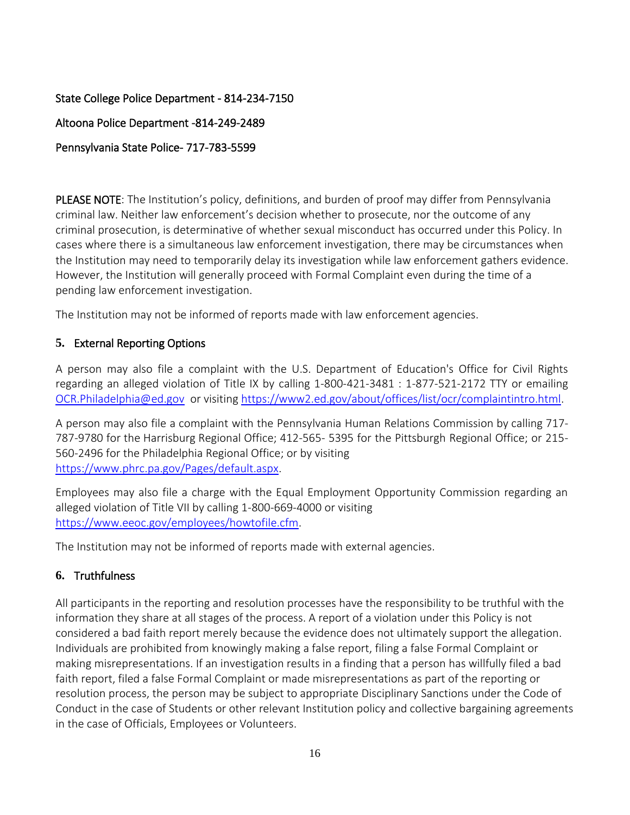# State College Police Department - 814-234-7150

Altoona Police Department -814-249-2489

### Pennsylvania State Police- 717-783-5599

PLEASE NOTE: The Institution's policy, definitions, and burden of proof may differ from Pennsylvania criminal law. Neither law enforcement's decision whether to prosecute, nor the outcome of any criminal prosecution, is determinative of whether sexual misconduct has occurred under this Policy. In cases where there is a simultaneous law enforcement investigation, there may be circumstances when the Institution may need to temporarily delay its investigation while law enforcement gathers evidence. However, the Institution will generally proceed with Formal Complaint even during the time of a pending law enforcement investigation.

The Institution may not be informed of reports made with law enforcement agencies.

### <span id="page-15-0"></span>**5.** External Reporting Options

A person may also file a complaint with the U.S. Department of Education's Office for Civil Rights regarding an alleged violation of Title IX by calling 1-800[-421-3481 : 1-877-521-2172 TTY](mailto:421-3481%20:%201-877-521-2172%20TTY) or emailing [OCR.Philadelphia@ed.gov](mailto:OCR.Philadelphia@ed.gov) or visiting [https://www2.ed.gov/about/offices/list/ocr/complaintintro.html.](https://www2.ed.gov/about/offices/list/ocr/complaintintro.html)

A person may also file a complaint with the Pennsylvania Human Relations Commission by calling 717- 787-9780 for the Harrisburg Regional Office; 412-565- 5395 for the Pittsburgh Regional Office; or 215- 560-2496 for the Philadelphia Regional Office; or by visiting [https://www.phrc.pa.gov/Pages/default.aspx.](https://www.phrc.pa.gov/Pages/default.aspx)

Employees may also file a charge with the Equal Employment Opportunity Commission regarding an alleged violation of Title VII by calling 1-800-669-4000 or visiting [https://www.eeoc.gov/employees/howtofile.cfm.](https://www.eeoc.gov/employees/howtofile.cfm)

The Institution may not be informed of reports made with external agencies.

### <span id="page-15-1"></span>**6.** Truthfulness

All participants in the reporting and resolution processes have the responsibility to be truthful with the information they share at all stages of the process. A report of a violation under this Policy is not considered a bad faith report merely because the evidence does not ultimately support the allegation. Individuals are prohibited from knowingly making a false report, filing a false Formal Complaint or making misrepresentations. If an investigation results in a finding that a person has willfully filed a bad faith report, filed a false Formal Complaint or made misrepresentations as part of the reporting or resolution process, the person may be subject to appropriate Disciplinary Sanctions under the Code of Conduct in the case of Students or other relevant Institution policy and collective bargaining agreements in the case of Officials, Employees or Volunteers.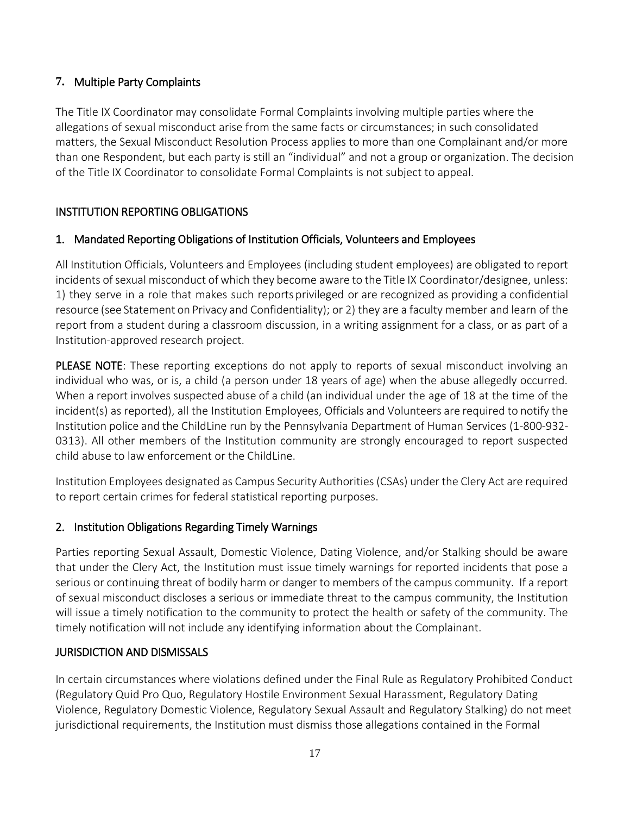# <span id="page-16-0"></span>**7.** Multiple Party Complaints

The Title IX Coordinator may consolidate Formal Complaints involving multiple parties where the allegations of sexual misconduct arise from the same facts or circumstances; in such consolidated matters, the Sexual Misconduct Resolution Process applies to more than one Complainant and/or more than one Respondent, but each party is still an "individual" and not a group or organization. The decision of the Title IX Coordinator to consolidate Formal Complaints is not subject to appeal.

# <span id="page-16-1"></span>INSTITUTION REPORTING OBLIGATIONS

# <span id="page-16-2"></span>1. Mandated Reporting Obligations of Institution Officials, Volunteers and Employees

All Institution Officials, Volunteers and Employees (including student employees) are obligated to report incidents of sexual misconduct of which they become aware to the Title IX Coordinator/designee, unless: 1) they serve in a role that makes such reports privileged or are recognized as providing a confidential resource (see Statement on Privacy and Confidentiality); or 2) they are a faculty member and learn of the report from a student during a classroom discussion, in a writing assignment for a class, or as part of a Institution-approved research project.

PLEASE NOTE: These reporting exceptions do not apply to reports of sexual misconduct involving an individual who was, or is, a child (a person under 18 years of age) when the abuse allegedly occurred. When a report involves suspected abuse of a child (an individual under the age of 18 at the time of the incident(s) as reported), all the Institution Employees, Officials and Volunteers are required to notify the Institution police and the [ChildLine](http://www.dhs.pa.gov/citizens/reportabuse/index.htm) run by the Pennsylvania Department of Human Services (1-800-932- 0313). All other members of the Institution community are strongly encouraged to report suspected child abuse to law enforcement or the [ChildLine.](http://www.dhs.pa.gov/citizens/reportabuse/index.htm)

Institution Employees designated as Campus Security Authorities (CSAs) under the Clery Act are required to report certain crimes for federal statistical reporting purposes.

# <span id="page-16-3"></span>2. Institution Obligations Regarding Timely Warnings

Parties reporting Sexual Assault, Domestic Violence, Dating Violence, and/or Stalking should be aware that under the Clery Act, the Institution must issue timely warnings for reported incidents that pose a serious or continuing threat of bodily harm or danger to members of the campus community. If a report of sexual misconduct discloses a serious or immediate threat to the campus community, the Institution will issue a timely notification to the community to protect the health or safety of the community. The timely notification will not include any identifying information about the Complainant.

# <span id="page-16-4"></span>JURISDICTION AND DISMISSALS

In certain circumstances where violations defined under the Final Rule as Regulatory Prohibited Conduct (Regulatory Quid Pro Quo, Regulatory Hostile Environment Sexual Harassment, Regulatory Dating Violence, Regulatory Domestic Violence, Regulatory Sexual Assault and Regulatory Stalking) do not meet jurisdictional requirements, the Institution must dismiss those allegations contained in the Formal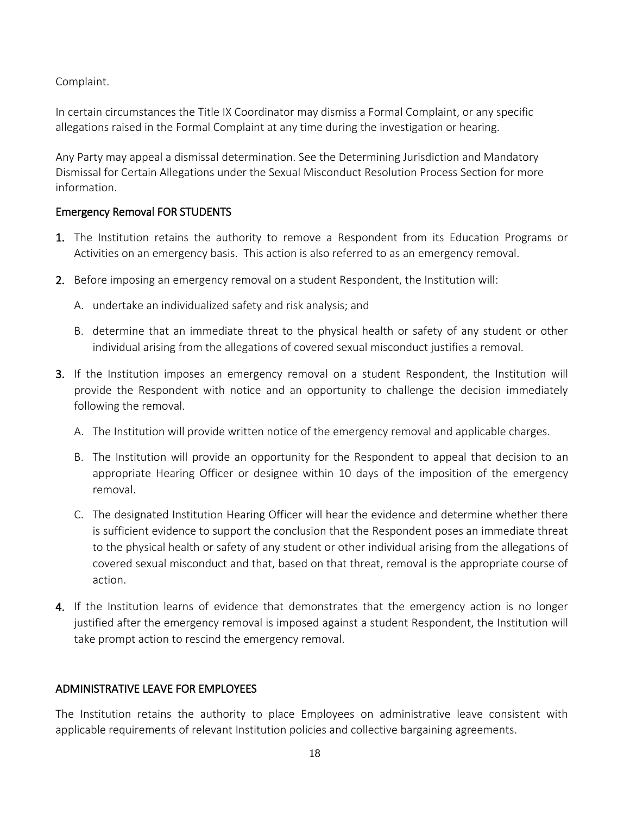Complaint.

In certain circumstances the Title IX Coordinator may dismiss a Formal Complaint, or any specific allegations raised in the Formal Complaint at any time during the investigation or hearing.

Any Party may appeal a dismissal determination. See the Determining Jurisdiction and Mandatory Dismissal for Certain Allegations under the Sexual Misconduct Resolution Process Section for more information.

### <span id="page-17-0"></span>Emergency Removal FOR STUDENTS

- 1. The Institution retains the authority to remove a Respondent from its Education Programs or Activities on an emergency basis. This action is also referred to as an emergency removal.
- 2. Before imposing an emergency removal on a student Respondent, the Institution will:
	- A. undertake an individualized safety and risk analysis; and
	- B. determine that an immediate threat to the physical health or safety of any student or other individual arising from the allegations of covered sexual misconduct justifies a removal.
- 3. If the Institution imposes an emergency removal on a student Respondent, the Institution will provide the Respondent with notice and an opportunity to challenge the decision immediately following the removal.
	- A. The Institution will provide written notice of the emergency removal and applicable charges.
	- B. The Institution will provide an opportunity for the Respondent to appeal that decision to an appropriate Hearing Officer or designee within 10 days of the imposition of the emergency removal.
	- C. The designated Institution Hearing Officer will hear the evidence and determine whether there is sufficient evidence to support the conclusion that the Respondent poses an immediate threat to the physical health or safety of any student or other individual arising from the allegations of covered sexual misconduct and that, based on that threat, removal is the appropriate course of action.
- 4. If the Institution learns of evidence that demonstrates that the emergency action is no longer justified after the emergency removal is imposed against a student Respondent, the Institution will take prompt action to rescind the emergency removal.

# <span id="page-17-1"></span>ADMINISTRATIVE LEAVE FOR EMPLOYEES

The Institution retains the authority to place Employees on administrative leave consistent with applicable requirements of relevant Institution policies and collective bargaining agreements.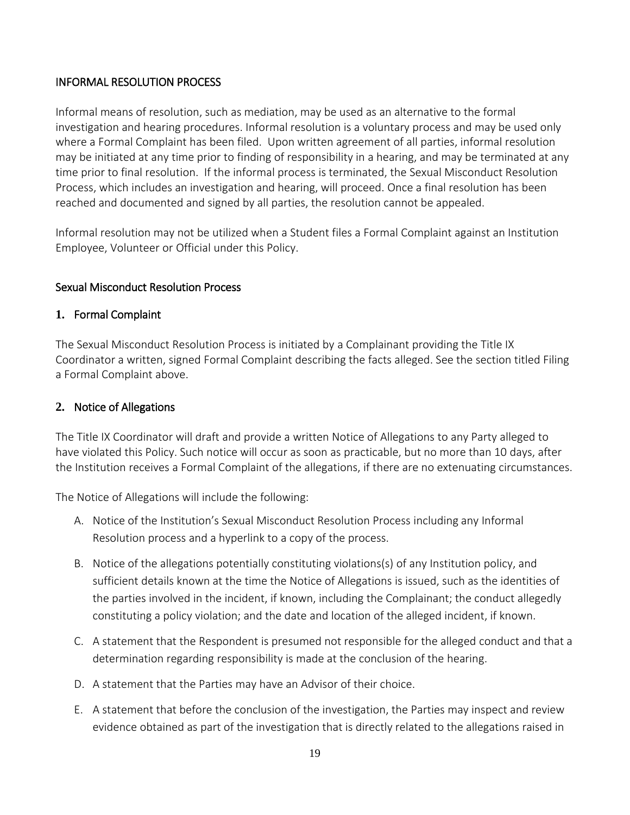### <span id="page-18-0"></span>INFORMAL RESOLUTION PROCESS

Informal means of resolution, such as mediation, may be used as an alternative to the formal investigation and hearing procedures. Informal resolution is a voluntary process and may be used only where a Formal Complaint has been filed. Upon written agreement of all parties, informal resolution may be initiated at any time prior to finding of responsibility in a hearing, and may be terminated at any time prior to final resolution. If the informal process is terminated, the Sexual Misconduct Resolution Process, which includes an investigation and hearing, will proceed. Once a final resolution has been reached and documented and signed by all parties, the resolution cannot be appealed.

Informal resolution may not be utilized when a Student files a Formal Complaint against an Institution Employee, Volunteer or Official under this Policy.

### <span id="page-18-1"></span>Sexual Misconduct Resolution Process

### <span id="page-18-2"></span>**1.** Formal Complaint

The Sexual Misconduct Resolution Process is initiated by a Complainant providing the Title IX Coordinator a written, signed Formal Complaint describing the facts alleged. See the section titled Filing a Formal Complaint above.

### <span id="page-18-3"></span>**2.** Notice of Allegations

The Title IX Coordinator will draft and provide a written Notice of Allegations to any Party alleged to have violated this Policy. Such notice will occur as soon as practicable, but no more than 10 days, after the Institution receives a Formal Complaint of the allegations, if there are no extenuating circumstances.

The Notice of Allegations will include the following:

- A. Notice of the Institution's Sexual Misconduct Resolution Process including any Informal Resolution process and a hyperlink to a copy of the process.
- B. Notice of the allegations potentially constituting violations(s) of any Institution policy, and sufficient details known at the time the Notice of Allegations is issued, such as the identities of the parties involved in the incident, if known, including the Complainant; the conduct allegedly constituting a policy violation; and the date and location of the alleged incident, if known.
- C. A statement that the Respondent is presumed not responsible for the alleged conduct and that a determination regarding responsibility is made at the conclusion of the hearing.
- D. A statement that the Parties may have an Advisor of their choice.
- E. A statement that before the conclusion of the investigation, the Parties may inspect and review evidence obtained as part of the investigation that is directly related to the allegations raised in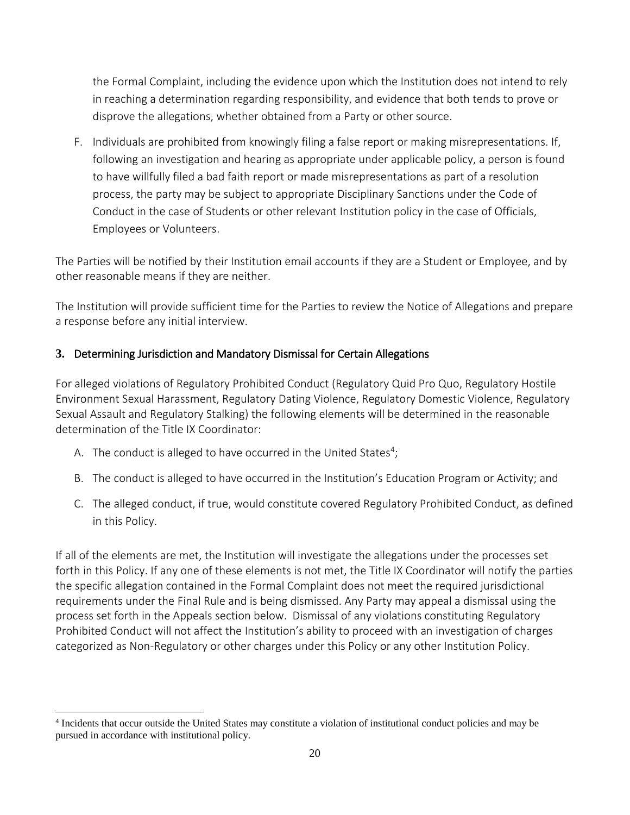the Formal Complaint, including the evidence upon which the Institution does not intend to rely in reaching a determination regarding responsibility, and evidence that both tends to prove or disprove the allegations, whether obtained from a Party or other source.

F. Individuals are prohibited from knowingly filing a false report or making misrepresentations. If, following an investigation and hearing as appropriate under applicable policy, a person is found to have willfully filed a bad faith report or made misrepresentations as part of a resolution process, the party may be subject to appropriate Disciplinary Sanctions under the Code of Conduct in the case of Students or other relevant Institution policy in the case of Officials, Employees or Volunteers.

The Parties will be notified by their Institution email accounts if they are a Student or Employee, and by other reasonable means if they are neither.

The Institution will provide sufficient time for the Parties to review the Notice of Allegations and prepare a response before any initial interview.

# <span id="page-19-0"></span>**3.** Determining Jurisdiction and Mandatory Dismissal for Certain Allegations

For alleged violations of Regulatory Prohibited Conduct (Regulatory Quid Pro Quo, Regulatory Hostile Environment Sexual Harassment, Regulatory Dating Violence, Regulatory Domestic Violence, Regulatory Sexual Assault and Regulatory Stalking) the following elements will be determined in the reasonable determination of the Title IX Coordinator:

A. The conduct is alleged to have occurred in the United States<sup>4</sup>;

 $\overline{\phantom{a}}$ 

- B. The conduct is alleged to have occurred in the Institution's Education Program or Activity; and
- C. The alleged conduct, if true, would constitute covered Regulatory Prohibited Conduct, as defined in this Policy.

If all of the elements are met, the Institution will investigate the allegations under the processes set forth in this Policy. If any one of these elements is not met, the Title IX Coordinator will notify the parties the specific allegation contained in the Formal Complaint does not meet the required jurisdictional requirements under the Final Rule and is being dismissed. Any Party may appeal a dismissal using the process set forth in the Appeals section below. Dismissal of any violations constituting Regulatory Prohibited Conduct will not affect the Institution's ability to proceed with an investigation of charges categorized as Non-Regulatory or other charges under this Policy or any other Institution Policy.

<sup>4</sup> Incidents that occur outside the United States may constitute a violation of institutional conduct policies and may be pursued in accordance with institutional policy.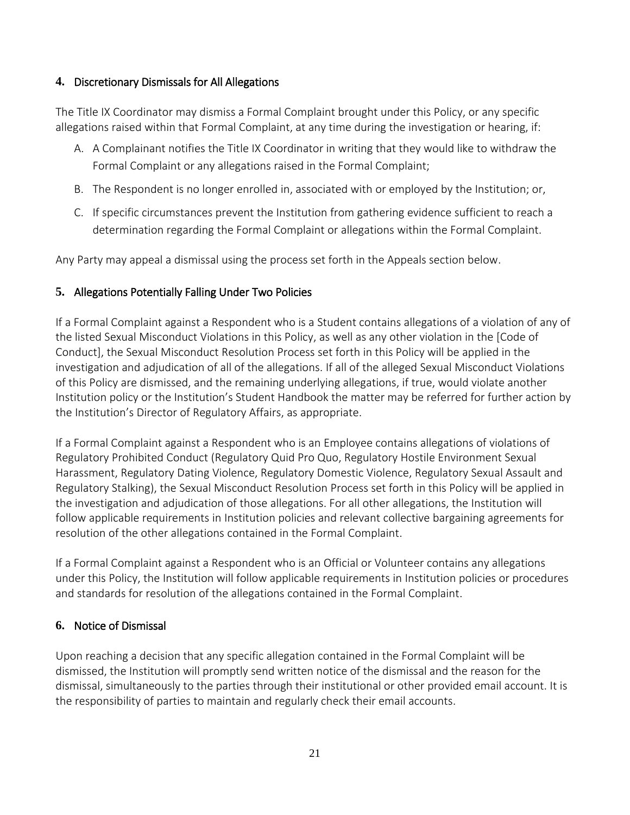### <span id="page-20-0"></span>**4.** Discretionary Dismissals for All Allegations

The Title IX Coordinator may dismiss a Formal Complaint brought under this Policy, or any specific allegations raised within that Formal Complaint, at any time during the investigation or hearing, if:

- A. A Complainant notifies the Title IX Coordinator in writing that they would like to withdraw the Formal Complaint or any allegations raised in the Formal Complaint;
- B. The Respondent is no longer enrolled in, associated with or employed by the Institution; or,
- C. If specific circumstances prevent the Institution from gathering evidence sufficient to reach a determination regarding the Formal Complaint or allegations within the Formal Complaint.

Any Party may appeal a dismissal using the process set forth in the Appeals section below.

### <span id="page-20-1"></span>**5.** Allegations Potentially Falling Under Two Policies

If a Formal Complaint against a Respondent who is a Student contains allegations of a violation of any of the listed Sexual Misconduct Violations in this Policy, as well as any other violation in the [Code of Conduct], the Sexual Misconduct Resolution Process set forth in this Policy will be applied in the investigation and adjudication of all of the allegations. If all of the alleged Sexual Misconduct Violations of this Policy are dismissed, and the remaining underlying allegations, if true, would violate another Institution policy or the Institution's Student Handbook the matter may be referred for further action by the Institution's Director of Regulatory Affairs, as appropriate.

If a Formal Complaint against a Respondent who is an Employee contains allegations of violations of Regulatory Prohibited Conduct (Regulatory Quid Pro Quo, Regulatory Hostile Environment Sexual Harassment, Regulatory Dating Violence, Regulatory Domestic Violence, Regulatory Sexual Assault and Regulatory Stalking), the Sexual Misconduct Resolution Process set forth in this Policy will be applied in the investigation and adjudication of those allegations. For all other allegations, the Institution will follow applicable requirements in Institution policies and relevant collective bargaining agreements for resolution of the other allegations contained in the Formal Complaint.

If a Formal Complaint against a Respondent who is an Official or Volunteer contains any allegations under this Policy, the Institution will follow applicable requirements in Institution policies or procedures and standards for resolution of the allegations contained in the Formal Complaint.

# <span id="page-20-2"></span>**6.** Notice of Dismissal

Upon reaching a decision that any specific allegation contained in the Formal Complaint will be dismissed, the Institution will promptly send written notice of the dismissal and the reason for the dismissal, simultaneously to the parties through their institutional or other provided email account. It is the responsibility of parties to maintain and regularly check their email accounts.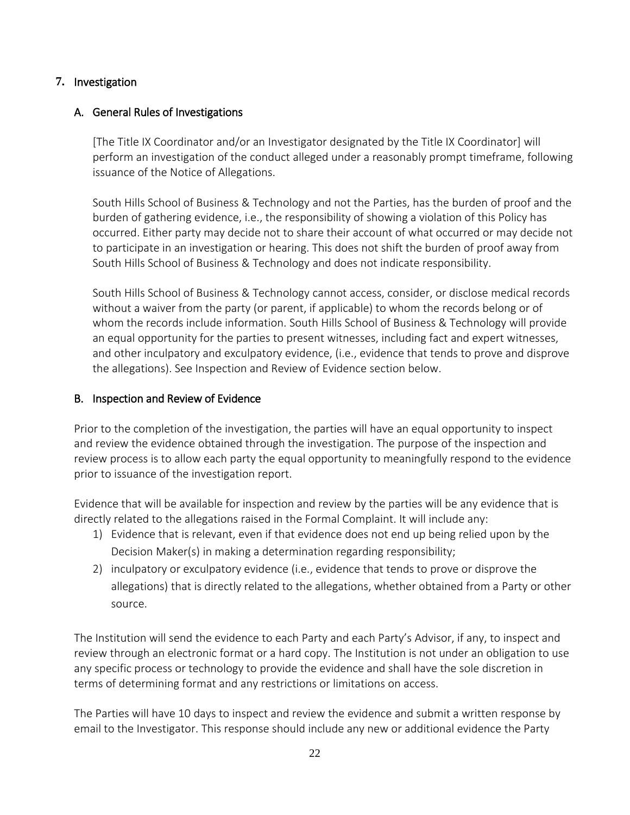### <span id="page-21-0"></span>**7.** Investigation

### <span id="page-21-1"></span>A. General Rules of Investigations

[The Title IX Coordinator and/or an Investigator designated by the Title IX Coordinator] will perform an investigation of the conduct alleged under a reasonably prompt timeframe, following issuance of the Notice of Allegations.

South Hills School of Business & Technology and not the Parties, has the burden of proof and the burden of gathering evidence, i.e., the responsibility of showing a violation of this Policy has occurred. Either party may decide not to share their account of what occurred or may decide not to participate in an investigation or hearing. This does not shift the burden of proof away from South Hills School of Business & Technology and does not indicate responsibility.

South Hills School of Business & Technology cannot access, consider, or disclose medical records without a waiver from the party (or parent, if applicable) to whom the records belong or of whom the records include information. South Hills School of Business & Technology will provide an equal opportunity for the parties to present witnesses, including fact and expert witnesses, and other inculpatory and exculpatory evidence, (i.e., evidence that tends to prove and disprove the allegations). See Inspection and Review of Evidence section below.

### <span id="page-21-2"></span>B. Inspection and Review of Evidence

Prior to the completion of the investigation, the parties will have an equal opportunity to inspect and review the evidence obtained through the investigation. The purpose of the inspection and review process is to allow each party the equal opportunity to meaningfully respond to the evidence prior to issuance of the investigation report.

Evidence that will be available for inspection and review by the parties will be any evidence that is directly related to the allegations raised in the Formal Complaint. It will include any:

- 1) Evidence that is relevant, even if that evidence does not end up being relied upon by the Decision Maker(s) in making a determination regarding responsibility;
- 2) inculpatory or exculpatory evidence (i.e., evidence that tends to prove or disprove the allegations) that is directly related to the allegations, whether obtained from a Party or other source.

The Institution will send the evidence to each Party and each Party's Advisor, if any, to inspect and review through an electronic format or a hard copy. The Institution is not under an obligation to use any specific process or technology to provide the evidence and shall have the sole discretion in terms of determining format and any restrictions or limitations on access.

The Parties will have 10 days to inspect and review the evidence and submit a written response by email to the Investigator. This response should include any new or additional evidence the Party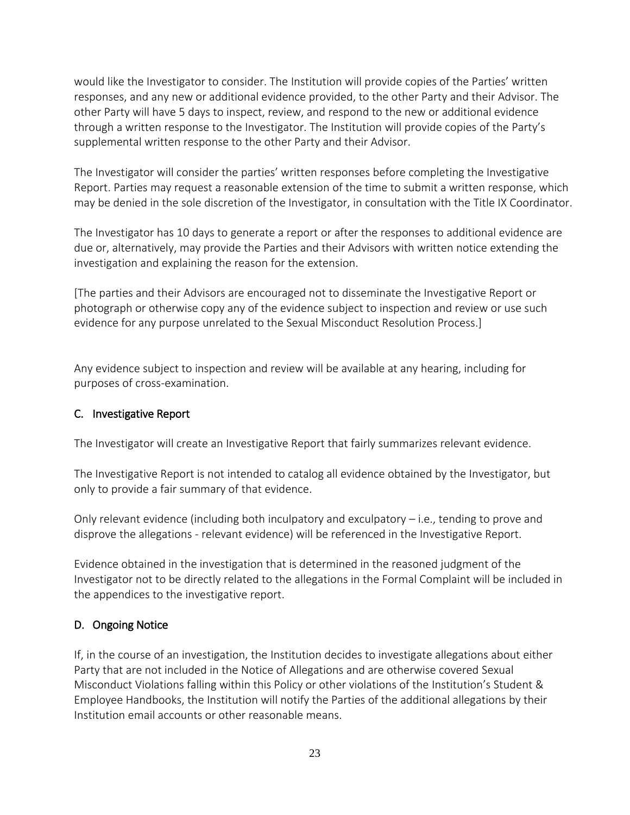would like the Investigator to consider. The Institution will provide copies of the Parties' written responses, and any new or additional evidence provided, to the other Party and their Advisor. The other Party will have 5 days to inspect, review, and respond to the new or additional evidence through a written response to the Investigator. The Institution will provide copies of the Party's supplemental written response to the other Party and their Advisor.

The Investigator will consider the parties' written responses before completing the Investigative Report. Parties may request a reasonable extension of the time to submit a written response, which may be denied in the sole discretion of the Investigator, in consultation with the Title IX Coordinator.

The Investigator has 10 days to generate a report or after the responses to additional evidence are due or, alternatively, may provide the Parties and their Advisors with written notice extending the investigation and explaining the reason for the extension.

[The parties and their Advisors are encouraged not to disseminate the Investigative Report or photograph or otherwise copy any of the evidence subject to inspection and review or use such evidence for any purpose unrelated to the Sexual Misconduct Resolution Process.]

Any evidence subject to inspection and review will be available at any hearing, including for purposes of cross-examination.

### C. Investigative Report

The Investigator will create an Investigative Report that fairly summarizes relevant evidence.

The Investigative Report is not intended to catalog all evidence obtained by the Investigator, but only to provide a fair summary of that evidence.

Only relevant evidence (including both inculpatory and exculpatory – i.e., tending to prove and disprove the allegations - relevant evidence) will be referenced in the Investigative Report.

Evidence obtained in the investigation that is determined in the reasoned judgment of the Investigator not to be directly related to the allegations in the Formal Complaint will be included in the appendices to the investigative report.

# D. Ongoing Notice

If, in the course of an investigation, the Institution decides to investigate allegations about either Party that are not included in the Notice of Allegations and are otherwise covered Sexual Misconduct Violations falling within this Policy or other violations of the Institution's Student & Employee Handbooks, the Institution will notify the Parties of the additional allegations by their Institution email accounts or other reasonable means.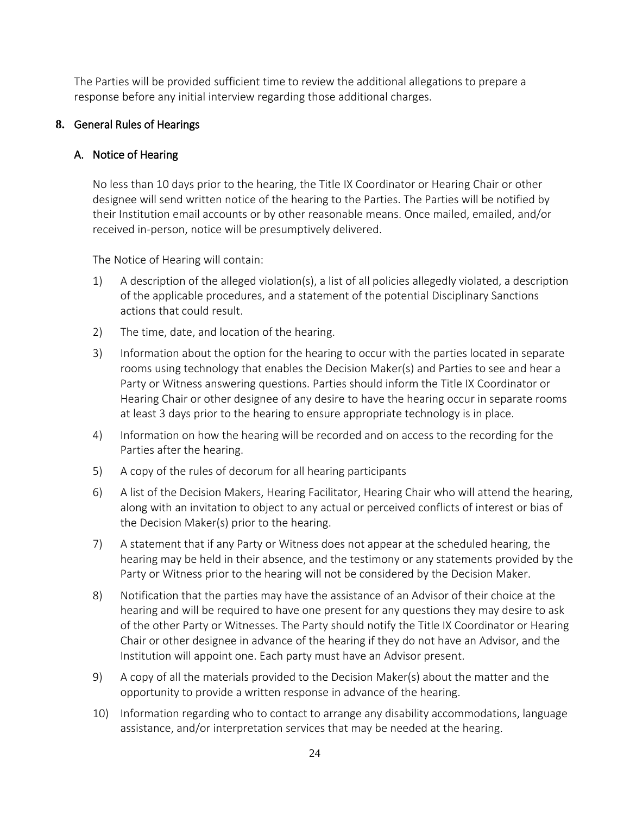The Parties will be provided sufficient time to review the additional allegations to prepare a response before any initial interview regarding those additional charges.

### <span id="page-23-0"></span>**8.** General Rules of Hearings

### <span id="page-23-1"></span>A. Notice of Hearing

No less than 10 days prior to the hearing, the Title IX Coordinator or Hearing Chair or other designee will send written notice of the hearing to the Parties. The Parties will be notified by their Institution email accounts or by other reasonable means. Once mailed, emailed, and/or received in-person, notice will be presumptively delivered.

The Notice of Hearing will contain:

- 1) A description of the alleged violation(s), a list of all policies allegedly violated, a description of the applicable procedures, and a statement of the potential Disciplinary Sanctions actions that could result.
- 2) The time, date, and location of the hearing.
- 3) Information about the option for the hearing to occur with the parties located in separate rooms using technology that enables the Decision Maker(s) and Parties to see and hear a Party or Witness answering questions. Parties should inform the Title IX Coordinator or Hearing Chair or other designee of any desire to have the hearing occur in separate rooms at least 3 days prior to the hearing to ensure appropriate technology is in place.
- 4) Information on how the hearing will be recorded and on access to the recording for the Parties after the hearing.
- 5) A copy of the rules of decorum for all hearing participants
- 6) A list of the Decision Makers, Hearing Facilitator, Hearing Chair who will attend the hearing, along with an invitation to object to any actual or perceived conflicts of interest or bias of the Decision Maker(s) prior to the hearing.
- 7) A statement that if any Party or Witness does not appear at the scheduled hearing, the hearing may be held in their absence, and the testimony or any statements provided by the Party or Witness prior to the hearing will not be considered by the Decision Maker.
- 8) Notification that the parties may have the assistance of an Advisor of their choice at the hearing and will be required to have one present for any questions they may desire to ask of the other Party or Witnesses. The Party should notify the Title IX Coordinator or Hearing Chair or other designee in advance of the hearing if they do not have an Advisor, and the Institution will appoint one. Each party must have an Advisor present.
- 9) A copy of all the materials provided to the Decision Maker(s) about the matter and the opportunity to provide a written response in advance of the hearing.
- 10) Information regarding who to contact to arrange any disability accommodations, language assistance, and/or interpretation services that may be needed at the hearing.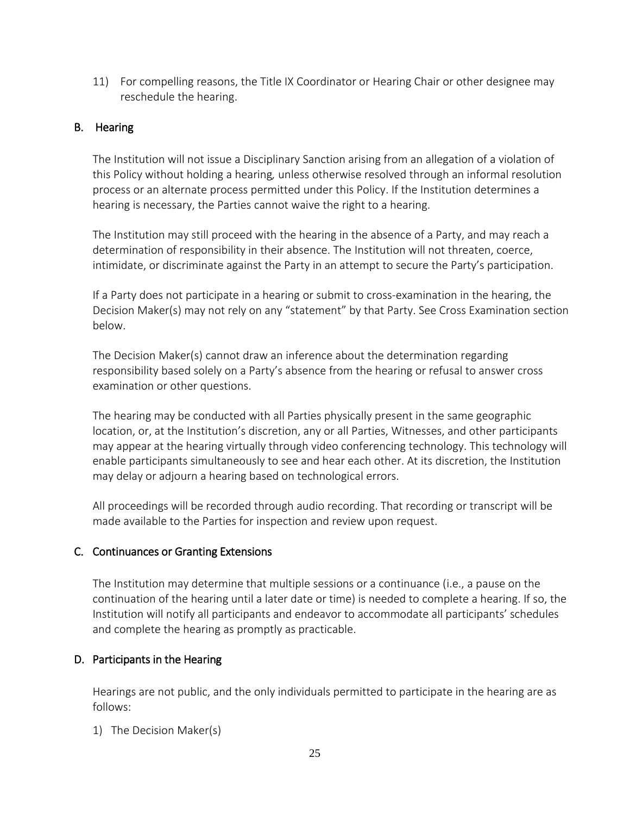11) For compelling reasons, the Title IX Coordinator or Hearing Chair or other designee may reschedule the hearing.

### <span id="page-24-0"></span>B. Hearing

The Institution will not issue a Disciplinary Sanction arising from an allegation of a violation of this Policy without holding a hearing*,* unless otherwise resolved through an informal resolution process or an alternate process permitted under this Policy. If the Institution determines a hearing is necessary, the Parties cannot waive the right to a hearing.

The Institution may still proceed with the hearing in the absence of a Party, and may reach a determination of responsibility in their absence. The Institution will not threaten, coerce, intimidate, or discriminate against the Party in an attempt to secure the Party's participation.

If a Party does not participate in a hearing or submit to cross-examination in the hearing, the Decision Maker(s) may not rely on any "statement" by that Party. See Cross Examination section below.

The Decision Maker(s) cannot draw an inference about the determination regarding responsibility based solely on a Party's absence from the hearing or refusal to answer cross examination or other questions.

The hearing may be conducted with all Parties physically present in the same geographic location, or, at the Institution's discretion, any or all Parties, Witnesses, and other participants may appear at the hearing virtually through video conferencing technology. This technology will enable participants simultaneously to see and hear each other. At its discretion, the Institution may delay or adjourn a hearing based on technological errors.

All proceedings will be recorded through audio recording. That recording or transcript will be made available to the Parties for inspection and review upon request.

### <span id="page-24-1"></span>C. Continuances or Granting Extensions

The Institution may determine that multiple sessions or a continuance (i.e., a pause on the continuation of the hearing until a later date or time) is needed to complete a hearing. If so, the Institution will notify all participants and endeavor to accommodate all participants' schedules and complete the hearing as promptly as practicable.

# <span id="page-24-2"></span>D. Participants in the Hearing

Hearings are not public, and the only individuals permitted to participate in the hearing are as follows:

1) The Decision Maker(s)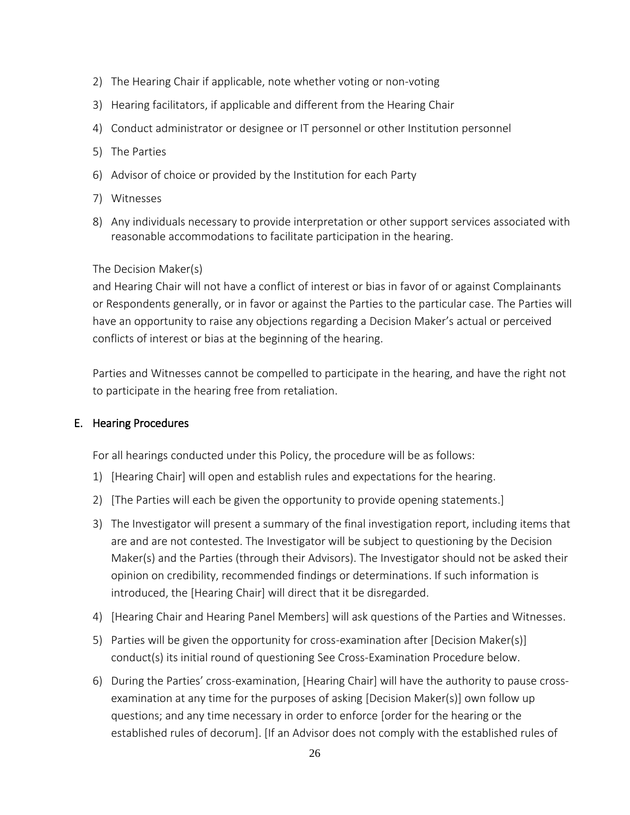- 2) The Hearing Chair if applicable, note whether voting or non-voting
- 3) Hearing facilitators, if applicable and different from the Hearing Chair
- 4) Conduct administrator or designee or IT personnel or other Institution personnel
- 5) The Parties
- 6) Advisor of choice or provided by the Institution for each Party
- 7) Witnesses
- 8) Any individuals necessary to provide interpretation or other support services associated with reasonable accommodations to facilitate participation in the hearing.

#### The Decision Maker(s)

and Hearing Chair will not have a conflict of interest or bias in favor of or against Complainants or Respondents generally, or in favor or against the Parties to the particular case. The Parties will have an opportunity to raise any objections regarding a Decision Maker's actual or perceived conflicts of interest or bias at the beginning of the hearing.

Parties and Witnesses cannot be compelled to participate in the hearing, and have the right not to participate in the hearing free from retaliation.

#### <span id="page-25-0"></span>E. Hearing Procedures

For all hearings conducted under this Policy, the procedure will be as follows:

- 1) [Hearing Chair] will open and establish rules and expectations for the hearing.
- 2) [The Parties will each be given the opportunity to provide opening statements.]
- 3) The Investigator will present a summary of the final investigation report, including items that are and are not contested. The Investigator will be subject to questioning by the Decision Maker(s) and the Parties (through their Advisors). The Investigator should not be asked their opinion on credibility, recommended findings or determinations. If such information is introduced, the [Hearing Chair] will direct that it be disregarded.
- 4) [Hearing Chair and Hearing Panel Members] will ask questions of the Parties and Witnesses.
- 5) Parties will be given the opportunity for cross-examination after [Decision Maker(s)] conduct(s) its initial round of questioning See Cross-Examination Procedure below.
- 6) During the Parties' cross-examination, [Hearing Chair] will have the authority to pause crossexamination at any time for the purposes of asking [Decision Maker(s)] own follow up questions; and any time necessary in order to enforce [order for the hearing or the established rules of decorum]. [If an Advisor does not comply with the established rules of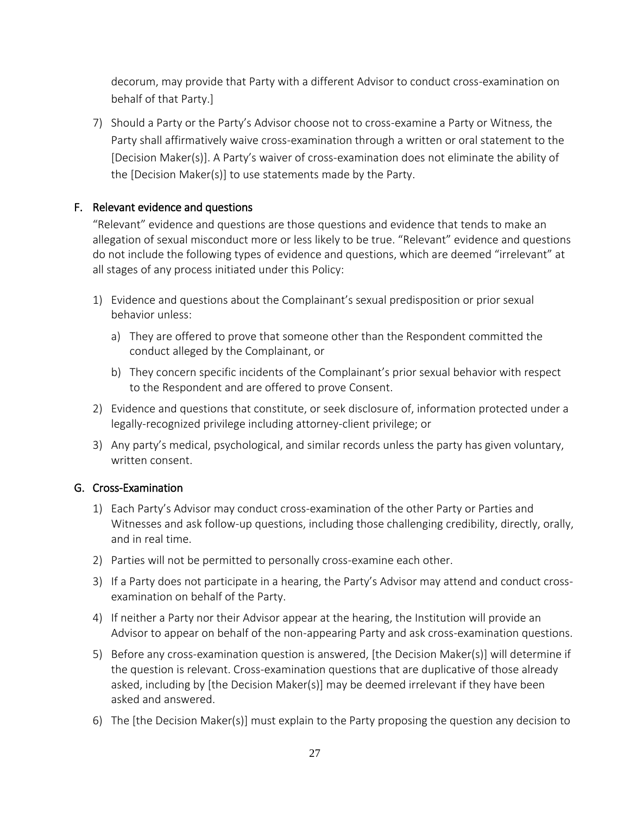decorum, may provide that Party with a different Advisor to conduct cross-examination on behalf of that Party.]

7) Should a Party or the Party's Advisor choose not to cross-examine a Party or Witness, the Party shall affirmatively waive cross-examination through a written or oral statement to the [Decision Maker(s)]. A Party's waiver of cross-examination does not eliminate the ability of the [Decision Maker(s)] to use statements made by the Party.

### <span id="page-26-0"></span>F. Relevant evidence and questions

"Relevant" evidence and questions are those questions and evidence that tends to make an allegation of sexual misconduct more or less likely to be true. "Relevant" evidence and questions do not include the following types of evidence and questions, which are deemed "irrelevant" at all stages of any process initiated under this Policy:

- 1) Evidence and questions about the Complainant's sexual predisposition or prior sexual behavior unless:
	- a) They are offered to prove that someone other than the Respondent committed the conduct alleged by the Complainant, or
	- b) They concern specific incidents of the Complainant's prior sexual behavior with respect to the Respondent and are offered to prove Consent.
- 2) Evidence and questions that constitute, or seek disclosure of, information protected under a legally-recognized privilege including attorney-client privilege; or
- 3) Any party's medical, psychological, and similar records unless the party has given voluntary, written consent.

#### <span id="page-26-1"></span>G. Cross-Examination

- 1) Each Party's Advisor may conduct cross-examination of the other Party or Parties and Witnesses and ask follow-up questions, including those challenging credibility, directly, orally, and in real time.
- 2) Parties will not be permitted to personally cross-examine each other.
- 3) If a Party does not participate in a hearing, the Party's Advisor may attend and conduct crossexamination on behalf of the Party.
- 4) If neither a Party nor their Advisor appear at the hearing, the Institution will provide an Advisor to appear on behalf of the non-appearing Party and ask cross-examination questions.
- 5) Before any cross-examination question is answered, [the Decision Maker(s)] will determine if the question is relevant. Cross-examination questions that are duplicative of those already asked, including by [the Decision Maker(s)] may be deemed irrelevant if they have been asked and answered.
- 6) The [the Decision Maker(s)] must explain to the Party proposing the question any decision to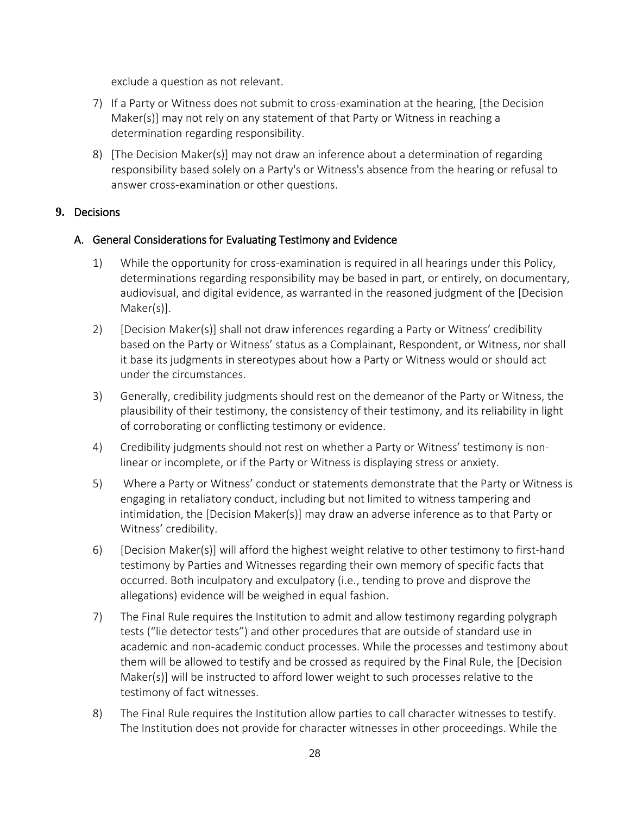exclude a question as not relevant.

- 7) If a Party or Witness does not submit to cross-examination at the hearing, [the Decision Maker(s)] may not rely on any statement of that Party or Witness in reaching a determination regarding responsibility.
- 8) [The Decision Maker(s)] may not draw an inference about a determination of regarding responsibility based solely on a Party's or Witness's absence from the hearing or refusal to answer cross-examination or other questions.

### <span id="page-27-1"></span><span id="page-27-0"></span>**9.** Decisions

### A. General Considerations for Evaluating Testimony and Evidence

- 1) While the opportunity for cross-examination is required in all hearings under this Policy, determinations regarding responsibility may be based in part, or entirely, on documentary, audiovisual, and digital evidence, as warranted in the reasoned judgment of the [Decision Maker(s)].
- 2) [Decision Maker(s)] shall not draw inferences regarding a Party or Witness' credibility based on the Party or Witness' status as a Complainant, Respondent, or Witness, nor shall it base its judgments in stereotypes about how a Party or Witness would or should act under the circumstances.
- 3) Generally, credibility judgments should rest on the demeanor of the Party or Witness, the plausibility of their testimony, the consistency of their testimony, and its reliability in light of corroborating or conflicting testimony or evidence.
- 4) Credibility judgments should not rest on whether a Party or Witness' testimony is nonlinear or incomplete, or if the Party or Witness is displaying stress or anxiety.
- 5) Where a Party or Witness' conduct or statements demonstrate that the Party or Witness is engaging in retaliatory conduct, including but not limited to witness tampering and intimidation, the [Decision Maker(s)] may draw an adverse inference as to that Party or Witness' credibility.
- 6) [Decision Maker(s)] will afford the highest weight relative to other testimony to first-hand testimony by Parties and Witnesses regarding their own memory of specific facts that occurred. Both inculpatory and exculpatory (i.e., tending to prove and disprove the allegations) evidence will be weighed in equal fashion.
- 7) The Final Rule requires the Institution to admit and allow testimony regarding polygraph tests ("lie detector tests") and other procedures that are outside of standard use in academic and non-academic conduct processes. While the processes and testimony about them will be allowed to testify and be crossed as required by the Final Rule, the [Decision Maker(s)] will be instructed to afford lower weight to such processes relative to the testimony of fact witnesses.
- 8) The Final Rule requires the Institution allow parties to call character witnesses to testify. The Institution does not provide for character witnesses in other proceedings. While the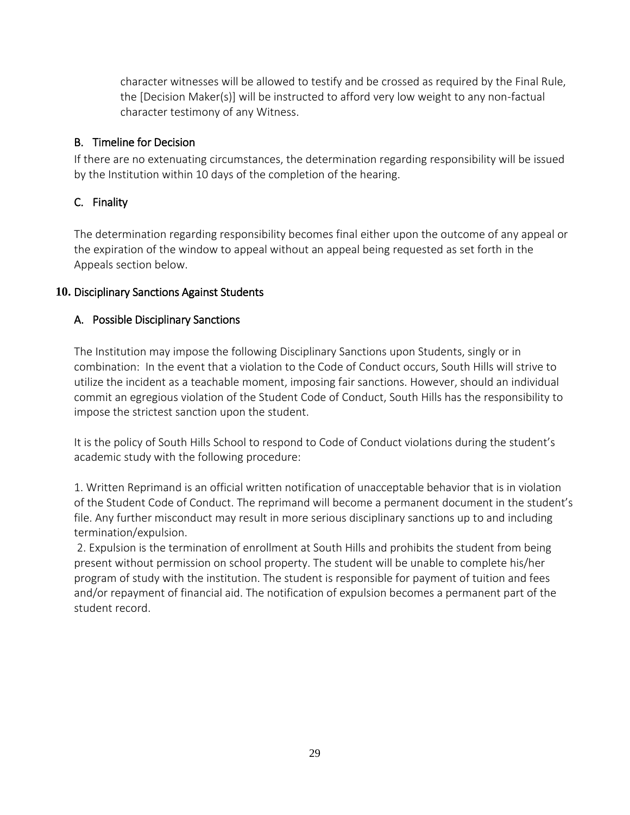character witnesses will be allowed to testify and be crossed as required by the Final Rule, the [Decision Maker(s)] will be instructed to afford very low weight to any non-factual character testimony of any Witness.

### <span id="page-28-0"></span>B. Timeline for Decision

If there are no extenuating circumstances, the determination regarding responsibility will be issued by the Institution within 10 days of the completion of the hearing.

# <span id="page-28-1"></span>C. Finality

The determination regarding responsibility becomes final either upon the outcome of any appeal or the expiration of the window to appeal without an appeal being requested as set forth in the Appeals section below.

# <span id="page-28-3"></span><span id="page-28-2"></span>**10.** Disciplinary Sanctions Against Students

# A. Possible Disciplinary Sanctions

The Institution may impose the following Disciplinary Sanctions upon Students, singly or in combination: In the event that a violation to the Code of Conduct occurs, South Hills will strive to utilize the incident as a teachable moment, imposing fair sanctions. However, should an individual commit an egregious violation of the Student Code of Conduct, South Hills has the responsibility to impose the strictest sanction upon the student.

It is the policy of South Hills School to respond to Code of Conduct violations during the student's academic study with the following procedure:

1. Written Reprimand is an official written notification of unacceptable behavior that is in violation of the Student Code of Conduct. The reprimand will become a permanent document in the student's file. Any further misconduct may result in more serious disciplinary sanctions up to and including termination/expulsion.

2. Expulsion is the termination of enrollment at South Hills and prohibits the student from being present without permission on school property. The student will be unable to complete his/her program of study with the institution. The student is responsible for payment of tuition and fees and/or repayment of financial aid. The notification of expulsion becomes a permanent part of the student record.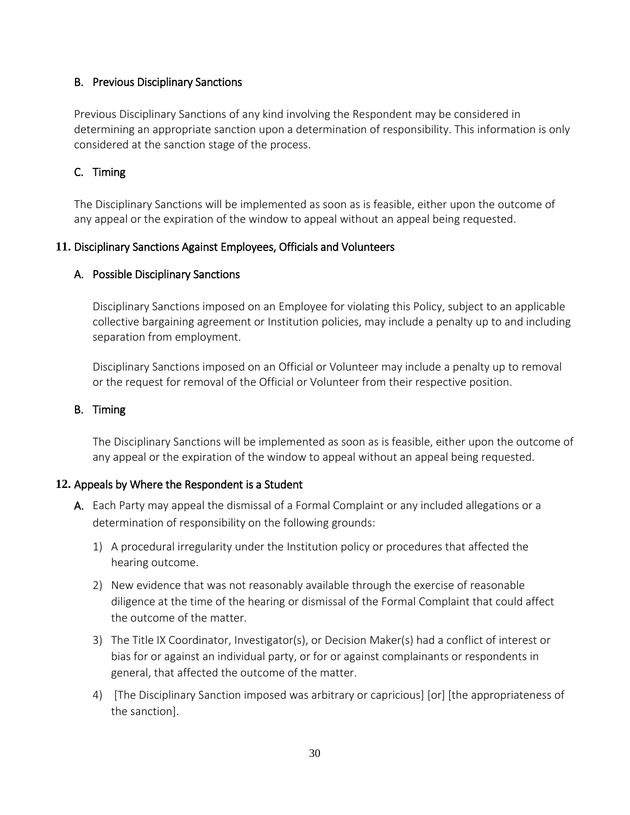### <span id="page-29-0"></span>B. Previous Disciplinary Sanctions

Previous Disciplinary Sanctions of any kind involving the Respondent may be considered in determining an appropriate sanction upon a determination of responsibility. This information is only considered at the sanction stage of the process.

### <span id="page-29-1"></span>C. Timing

The Disciplinary Sanctions will be implemented as soon as is feasible, either upon the outcome of any appeal or the expiration of the window to appeal without an appeal being requested.

#### <span id="page-29-3"></span><span id="page-29-2"></span>**11.** Disciplinary Sanctions Against Employees, Officials and Volunteers

#### A. Possible Disciplinary Sanctions

Disciplinary Sanctions imposed on an Employee for violating this Policy, subject to an applicable collective bargaining agreement or Institution policies, may include a penalty up to and including separation from employment.

Disciplinary Sanctions imposed on an Official or Volunteer may include a penalty up to removal or the request for removal of the Official or Volunteer from their respective position.

#### <span id="page-29-4"></span>B. Timing

The Disciplinary Sanctions will be implemented as soon as is feasible, either upon the outcome of any appeal or the expiration of the window to appeal without an appeal being requested.

### <span id="page-29-5"></span>**12.** Appeals by Where the Respondent is a Student

- A. Each Party may appeal the dismissal of a Formal Complaint or any included allegations or a determination of responsibility on the following grounds:
	- 1) A procedural irregularity under the Institution policy or procedures that affected the hearing outcome.
	- 2) New evidence that was not reasonably available through the exercise of reasonable diligence at the time of the hearing or dismissal of the Formal Complaint that could affect the outcome of the matter.
	- 3) The Title IX Coordinator, Investigator(s), or Decision Maker(s) had a conflict of interest or bias for or against an individual party, or for or against complainants or respondents in general, that affected the outcome of the matter.
	- 4) [The Disciplinary Sanction imposed was arbitrary or capricious] [or] [the appropriateness of the sanction].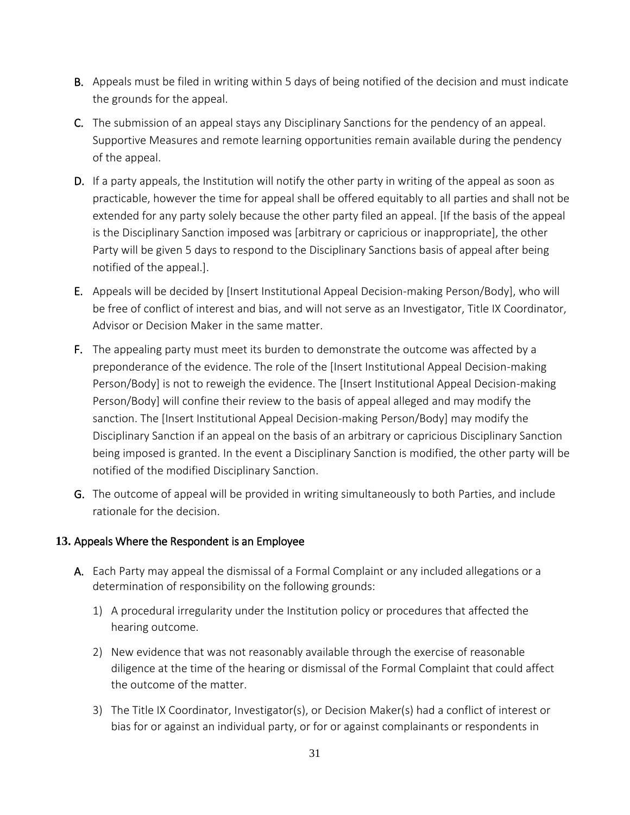- B. Appeals must be filed in writing within 5 days of being notified of the decision and must indicate the grounds for the appeal.
- C. The submission of an appeal stays any Disciplinary Sanctions for the pendency of an appeal. Supportive Measures and remote learning opportunities remain available during the pendency of the appeal.
- D. If a party appeals, the Institution will notify the other party in writing of the appeal as soon as practicable, however the time for appeal shall be offered equitably to all parties and shall not be extended for any party solely because the other party filed an appeal. [If the basis of the appeal is the Disciplinary Sanction imposed was [arbitrary or capricious or inappropriate], the other Party will be given 5 days to respond to the Disciplinary Sanctions basis of appeal after being notified of the appeal.].
- E. Appeals will be decided by [Insert Institutional Appeal Decision-making Person/Body], who will be free of conflict of interest and bias, and will not serve as an Investigator, Title IX Coordinator, Advisor or Decision Maker in the same matter.
- F. The appealing party must meet its burden to demonstrate the outcome was affected by a preponderance of the evidence. The role of the [Insert Institutional Appeal Decision-making Person/Body] is not to reweigh the evidence. The [Insert Institutional Appeal Decision-making Person/Body] will confine their review to the basis of appeal alleged and may modify the sanction. The [Insert Institutional Appeal Decision-making Person/Body] may modify the Disciplinary Sanction if an appeal on the basis of an arbitrary or capricious Disciplinary Sanction being imposed is granted. In the event a Disciplinary Sanction is modified, the other party will be notified of the modified Disciplinary Sanction.
- G. The outcome of appeal will be provided in writing simultaneously to both Parties, and include rationale for the decision.

### <span id="page-30-0"></span>**13.** Appeals Where the Respondent is an Employee

- A. Each Party may appeal the dismissal of a Formal Complaint or any included allegations or a determination of responsibility on the following grounds:
	- 1) A procedural irregularity under the Institution policy or procedures that affected the hearing outcome.
	- 2) New evidence that was not reasonably available through the exercise of reasonable diligence at the time of the hearing or dismissal of the Formal Complaint that could affect the outcome of the matter.
	- 3) The Title IX Coordinator, Investigator(s), or Decision Maker(s) had a conflict of interest or bias for or against an individual party, or for or against complainants or respondents in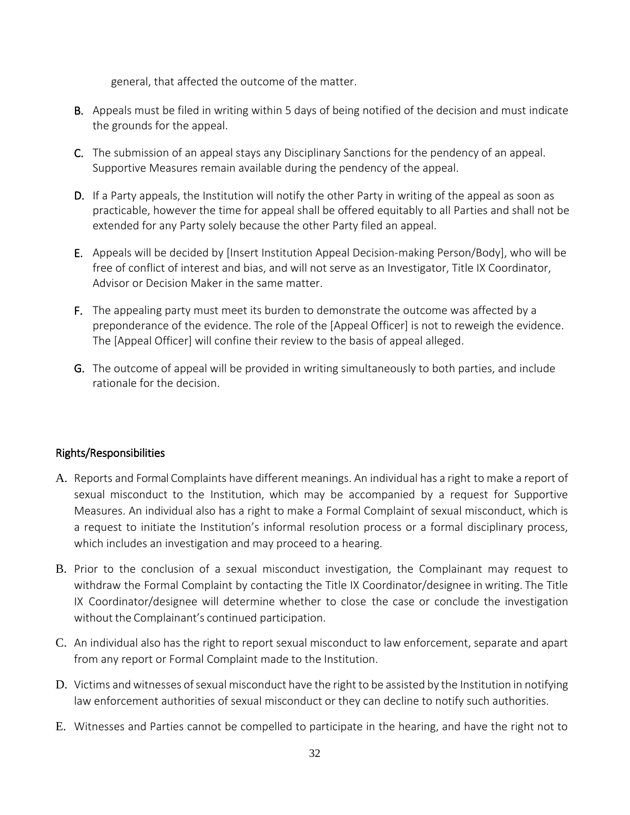general, that affected the outcome of the matter.

- B. Appeals must be filed in writing within 5 days of being notified of the decision and must indicate the grounds for the appeal.
- C. The submission of an appeal stays any Disciplinary Sanctions for the pendency of an appeal. Supportive Measures remain available during the pendency of the appeal.
- D. If a Party appeals, the Institution will notify the other Party in writing of the appeal as soon as practicable, however the time for appeal shall be offered equitably to all Parties and shall not be extended for any Party solely because the other Party filed an appeal.
- E. Appeals will be decided by [Insert Institution Appeal Decision-making Person/Body], who will be free of conflict of interest and bias, and will not serve as an Investigator, Title IX Coordinator, Advisor or Decision Maker in the same matter.
- F. The appealing party must meet its burden to demonstrate the outcome was affected by a preponderance of the evidence. The role of the [Appeal Officer] is not to reweigh the evidence. The [Appeal Officer] will confine their review to the basis of appeal alleged.
- G. The outcome of appeal will be provided in writing simultaneously to both parties, and include rationale for the decision.

### <span id="page-31-0"></span>Rights/Responsibilities

- A. Reports and Formal Complaints have different meanings. An individual has a right to make a report of sexual misconduct to the Institution, which may be accompanied by a request for Supportive Measures. An individual also has a right to make a Formal Complaint of sexual misconduct, which is a request to initiate the Institution's informal resolution process or a formal disciplinary process, which includes an investigation and may proceed to a hearing.
- B. Prior to the conclusion of a sexual misconduct investigation, the Complainant may request to withdraw the Formal Complaint by contacting the Title IX Coordinator/designee in writing. The Title IX Coordinator/designee will determine whether to close the case or conclude the investigation without the Complainant's continued participation.
- C. An individual also has the right to report sexual misconduct to law enforcement, separate and apart from any report or Formal Complaint made to the Institution.
- D. Victims and witnesses of sexual misconduct have the right to be assisted by the Institution in notifying law enforcement authorities of sexual misconduct or they can decline to notify such authorities.
- E. Witnesses and Parties cannot be compelled to participate in the hearing, and have the right not to